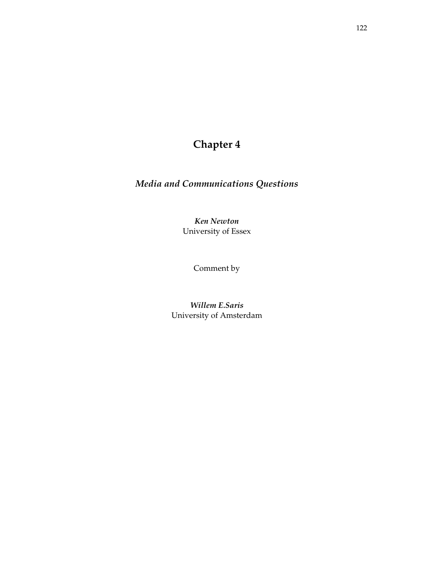# **Chapter 4**

# *Media and Communications Questions*

*Ken Newton*  University of Essex

Comment by

*Willem E.Saris*  University of Amsterdam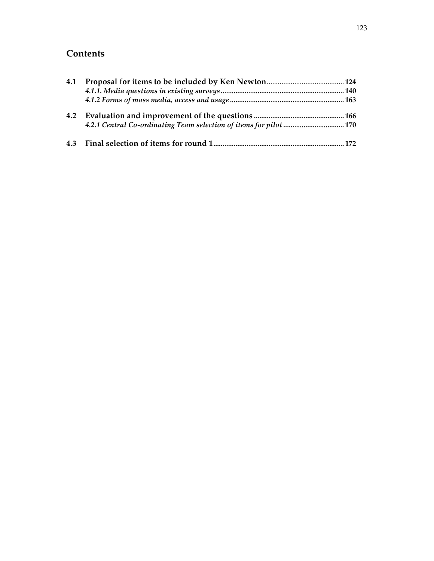# **Contents**

| 4.1 |  |
|-----|--|
|     |  |
|     |  |
| 4.2 |  |
|     |  |
|     |  |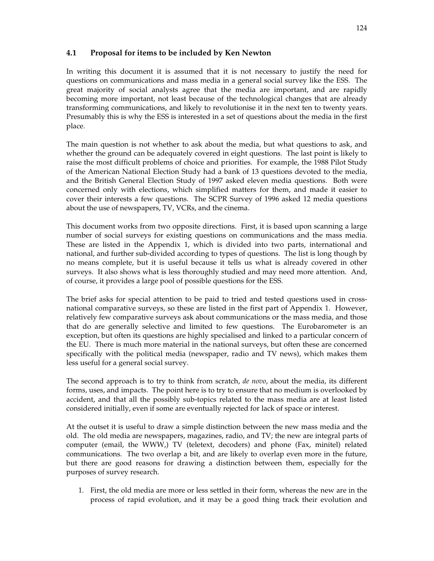# **4.1 Proposal for items to be included by Ken Newton**

In writing this document it is assumed that it is not necessary to justify the need for questions on communications and mass media in a general social survey like the ESS. The great majority of social analysts agree that the media are important, and are rapidly becoming more important, not least because of the technological changes that are already transforming communications, and likely to revolutionise it in the next ten to twenty years. Presumably this is why the ESS is interested in a set of questions about the media in the first place.

The main question is not whether to ask about the media, but what questions to ask, and whether the ground can be adequately covered in eight questions. The last point is likely to raise the most difficult problems of choice and priorities. For example, the 1988 Pilot Study of the American National Election Study had a bank of 13 questions devoted to the media, and the British General Election Study of 1997 asked eleven media questions. Both were concerned only with elections, which simplified matters for them, and made it easier to cover their interests a few questions. The SCPR Survey of 1996 asked 12 media questions about the use of newspapers, TV, VCRs, and the cinema.

This document works from two opposite directions. First, it is based upon scanning a large number of social surveys for existing questions on communications and the mass media. These are listed in the Appendix 1, which is divided into two parts, international and national, and further sub-divided according to types of questions. The list is long though by no means complete, but it is useful because it tells us what is already covered in other surveys. It also shows what is less thoroughly studied and may need more attention. And, of course, it provides a large pool of possible questions for the ESS.

The brief asks for special attention to be paid to tried and tested questions used in crossnational comparative surveys, so these are listed in the first part of Appendix 1. However, relatively few comparative surveys ask about communications or the mass media, and those that do are generally selective and limited to few questions. The Eurobarometer is an exception, but often its questions are highly specialised and linked to a particular concern of the EU. There is much more material in the national surveys, but often these are concerned specifically with the political media (newspaper, radio and TV news), which makes them less useful for a general social survey.

The second approach is to try to think from scratch, *de novo*, about the media, its different forms, uses, and impacts. The point here is to try to ensure that no medium is overlooked by accident, and that all the possibly sub-topics related to the mass media are at least listed considered initially, even if some are eventually rejected for lack of space or interest.

At the outset it is useful to draw a simple distinction between the new mass media and the old. The old media are newspapers, magazines, radio, and TV; the new are integral parts of computer (email, the WWW,) TV (teletext, decoders) and phone (Fax, minitel) related communications. The two overlap a bit, and are likely to overlap even more in the future, but there are good reasons for drawing a distinction between them, especially for the purposes of survey research.

1. First, the old media are more or less settled in their form, whereas the new are in the process of rapid evolution, and it may be a good thing track their evolution and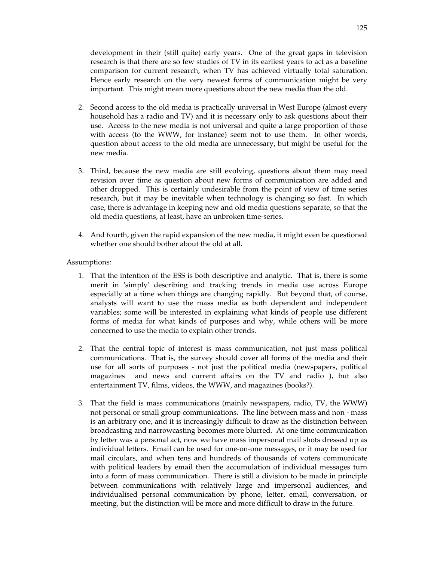development in their (still quite) early years. One of the great gaps in television research is that there are so few studies of TV in its earliest years to act as a baseline comparison for current research, when TV has achieved virtually total saturation. Hence early research on the very newest forms of communication might be very important. This might mean more questions about the new media than the old.

- 2. Second access to the old media is practically universal in West Europe (almost every household has a radio and TV) and it is necessary only to ask questions about their use. Access to the new media is not universal and quite a large proportion of those with access (to the WWW, for instance) seem not to use them. In other words, question about access to the old media are unnecessary, but might be useful for the new media.
- 3. Third, because the new media are still evolving, questions about them may need revision over time as question about new forms of communication are added and other dropped. This is certainly undesirable from the point of view of time series research, but it may be inevitable when technology is changing so fast. In which case, there is advantage in keeping new and old media questions separate, so that the old media questions, at least, have an unbroken time-series.
- 4. And fourth, given the rapid expansion of the new media, it might even be questioned whether one should bother about the old at all.

#### Assumptions:

- 1. That the intention of the ESS is both descriptive and analytic. That is, there is some merit in 'simply' describing and tracking trends in media use across Europe especially at a time when things are changing rapidly. But beyond that, of course, analysts will want to use the mass media as both dependent and independent variables; some will be interested in explaining what kinds of people use different forms of media for what kinds of purposes and why, while others will be more concerned to use the media to explain other trends.
- 2. That the central topic of interest is mass communication, not just mass political communications. That is, the survey should cover all forms of the media and their use for all sorts of purposes - not just the political media (newspapers, political magazines and news and current affairs on the TV and radio ), but also entertainment TV, films, videos, the WWW, and magazines (books?).
- 3. That the field is mass communications (mainly newspapers, radio, TV, the WWW) not personal or small group communications. The line between mass and non - mass is an arbitrary one, and it is increasingly difficult to draw as the distinction between broadcasting and narrowcasting becomes more blurred. At one time communication by letter was a personal act, now we have mass impersonal mail shots dressed up as individual letters. Email can be used for one-on-one messages, or it may be used for mail circulars, and when tens and hundreds of thousands of voters communicate with political leaders by email then the accumulation of individual messages turn into a form of mass communication. There is still a division to be made in principle between communications with relatively large and impersonal audiences, and individualised personal communication by phone, letter, email, conversation, or meeting, but the distinction will be more and more difficult to draw in the future.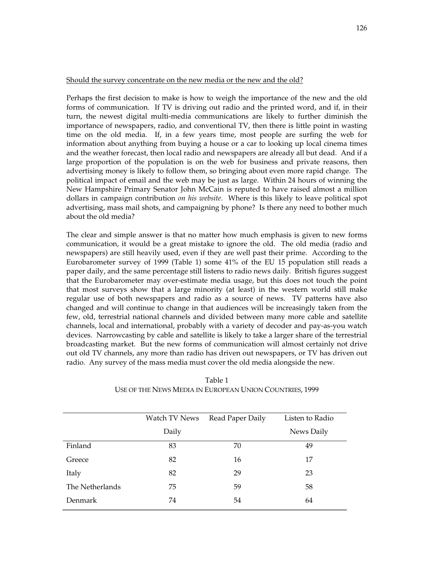#### Should the survey concentrate on the new media or the new and the old?

Perhaps the first decision to make is how to weigh the importance of the new and the old forms of communication. If TV is driving out radio and the printed word, and if, in their turn, the newest digital multi-media communications are likely to further diminish the importance of newspapers, radio, and conventional TV, then there is little point in wasting time on the old media. If, in a few years time, most people are surfing the web for information about anything from buying a house or a car to looking up local cinema times and the weather forecast, then local radio and newspapers are already all but dead. And if a large proportion of the population is on the web for business and private reasons, then advertising money is likely to follow them, so bringing about even more rapid change. The political impact of email and the web may be just as large. Within 24 hours of winning the New Hampshire Primary Senator John McCain is reputed to have raised almost a million dollars in campaign contribution *on his website*. Where is this likely to leave political spot advertising, mass mail shots, and campaigning by phone? Is there any need to bother much about the old media?

The clear and simple answer is that no matter how much emphasis is given to new forms communication, it would be a great mistake to ignore the old. The old media (radio and newspapers) are still heavily used, even if they are well past their prime. According to the Eurobarometer survey of 1999 (Table 1) some 41% of the EU 15 population still reads a paper daily, and the same percentage still listens to radio news daily. British figures suggest that the Eurobarometer may over-estimate media usage, but this does not touch the point that most surveys show that a large minority (at least) in the western world still make regular use of both newspapers and radio as a source of news. TV patterns have also changed and will continue to change in that audiences will be increasingly taken from the few, old, terrestrial national channels and divided between many more cable and satellite channels, local and international, probably with a variety of decoder and pay-as-you watch devices. Narrowcasting by cable and satellite is likely to take a larger share of the terrestrial broadcasting market. But the new forms of communication will almost certainly not drive out old TV channels, any more than radio has driven out newspapers, or TV has driven out radio. Any survey of the mass media must cover the old media alongside the new.

|                 | Watch TV News | Read Paper Daily | Listen to Radio |
|-----------------|---------------|------------------|-----------------|
|                 | Daily         |                  | News Daily      |
| Finland         | 83            | 70               | 49              |
| Greece          | 82            | 16               | 17              |
| Italy           | 82            | 29               | 23              |
| The Netherlands | 75            | 59               | 58              |
| Denmark         | 74            | 54               | 64              |

Table 1 USE OF THE NEWS MEDIA IN EUROPEAN UNION COUNTRIES, 1999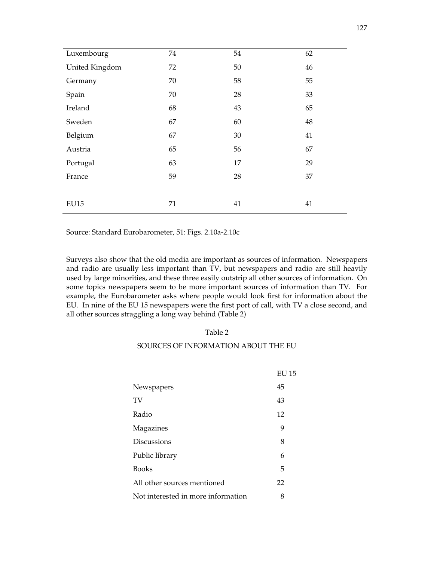| Luxembourg     | 74 | 54 | 62 |
|----------------|----|----|----|
| United Kingdom | 72 | 50 | 46 |
| Germany        | 70 | 58 | 55 |
| Spain          | 70 | 28 | 33 |
| Ireland        | 68 | 43 | 65 |
| Sweden         | 67 | 60 | 48 |
| Belgium        | 67 | 30 | 41 |
| Austria        | 65 | 56 | 67 |
| Portugal       | 63 | 17 | 29 |
| France         | 59 | 28 | 37 |
|                |    |    |    |
| <b>EU15</b>    | 71 | 41 | 41 |

Source: Standard Eurobarometer, 51: Figs. 2.10a-2.10c

Surveys also show that the old media are important as sources of information. Newspapers and radio are usually less important than TV, but newspapers and radio are still heavily used by large minorities, and these three easily outstrip all other sources of information. On some topics newspapers seem to be more important sources of information than TV. For example, the Eurobarometer asks where people would look first for information about the EU. In nine of the EU 15 newspapers were the first port of call, with TV a close second, and all other sources straggling a long way behind (Table 2)

#### Table 2

#### SOURCES OF INFORMATION ABOUT THE EU

|                                    | EU 15 |
|------------------------------------|-------|
| Newspapers                         | 45    |
| TV                                 | 43    |
| Radio                              | 12    |
| Magazines                          | 9     |
| <b>Discussions</b>                 | 8     |
| Public library                     | 6     |
| <b>Books</b>                       | 5     |
| All other sources mentioned        | 22    |
| Not interested in more information | 8     |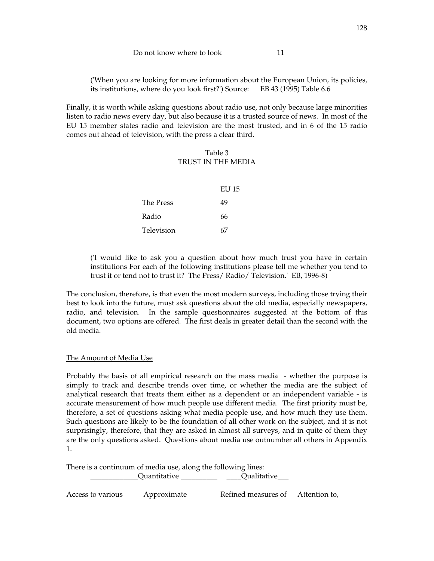## Do not know where to look 11

('When you are looking for more information about the European Union, its policies, its institutions, where do you look first?') Source: EB 43 (1995) Table 6.6

Finally, it is worth while asking questions about radio use, not only because large minorities listen to radio news every day, but also because it is a trusted source of news. In most of the EU 15 member states radio and television are the most trusted, and in 6 of the 15 radio comes out ahead of television, with the press a clear third.

# Table 3 TRUST IN THE MEDIA

|            | EU 15 |
|------------|-------|
| The Press  | 49    |
| Radio      | 66    |
| Television | 67    |

('I would like to ask you a question about how much trust you have in certain institutions For each of the following institutions please tell me whether you tend to trust it or tend not to trust it? The Press/ Radio/ Television.' EB, 1996-8)

The conclusion, therefore, is that even the most modern surveys, including those trying their best to look into the future, must ask questions about the old media, especially newspapers, radio, and television. In the sample questionnaires suggested at the bottom of this document, two options are offered. The first deals in greater detail than the second with the old media.

# The Amount of Media Use

Probably the basis of all empirical research on the mass media - whether the purpose is simply to track and describe trends over time, or whether the media are the subject of analytical research that treats them either as a dependent or an independent variable - is accurate measurement of how much people use different media. The first priority must be, therefore, a set of questions asking what media people use, and how much they use them. Such questions are likely to be the foundation of all other work on the subject, and it is not surprisingly, therefore, that they are asked in almost all surveys, and in quite of them they are the only questions asked. Questions about media use outnumber all others in Appendix 1.

There is a continuum of media use, along the following lines:

\_\_\_\_\_\_\_\_\_\_\_\_\_Quantitative \_\_\_\_\_\_\_\_\_\_ \_\_\_\_Qualitative\_\_\_

Access to various Approximate Refined measures of Attention to,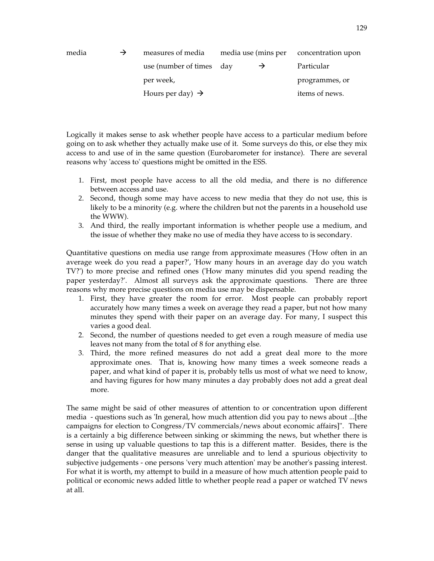| media | measures of media            |               | media use (mins per concentration upon |
|-------|------------------------------|---------------|----------------------------------------|
|       | use (number of times day     | $\rightarrow$ | Particular                             |
|       | per week,                    |               | programmes, or                         |
|       | Hours per day) $\rightarrow$ |               | items of news.                         |

Logically it makes sense to ask whether people have access to a particular medium before going on to ask whether they actually make use of it. Some surveys do this, or else they mix access to and use of in the same question (Eurobarometer for instance). There are several reasons why 'access to' questions might be omitted in the ESS.

- 1. First, most people have access to all the old media, and there is no difference between access and use.
- 2. Second, though some may have access to new media that they do not use, this is likely to be a minority (e.g. where the children but not the parents in a household use the WWW).
- 3. And third, the really important information is whether people use a medium, and the issue of whether they make no use of media they have access to is secondary.

Quantitative questions on media use range from approximate measures ('How often in an average week do you read a paper?', 'How many hours in an average day do you watch TV?') to more precise and refined ones ('How many minutes did you spend reading the paper yesterday?'. Almost all surveys ask the approximate questions. There are three reasons why more precise questions on media use may be dispensable.

- 1. First, they have greater the room for error. Most people can probably report accurately how many times a week on average they read a paper, but not how many minutes they spend with their paper on an average day. For many, I suspect this varies a good deal.
- 2. Second, the number of questions needed to get even a rough measure of media use leaves not many from the total of 8 for anything else.
- 3. Third, the more refined measures do not add a great deal more to the more approximate ones. That is, knowing how many times a week someone reads a paper, and what kind of paper it is, probably tells us most of what we need to know, and having figures for how many minutes a day probably does not add a great deal more.

The same might be said of other measures of attention to or concentration upon different media - questions such as 'In general, how much attention did you pay to news about ...[the campaigns for election to Congress/TV commercials/news about economic affairs]". There is a certainly a big difference between sinking or skimming the news, but whether there is sense in using up valuable questions to tap this is a different matter. Besides, there is the danger that the qualitative measures are unreliable and to lend a spurious objectivity to subjective judgements - one persons 'very much attention' may be another's passing interest. For what it is worth, my attempt to build in a measure of how much attention people paid to political or economic news added little to whether people read a paper or watched TV news at all.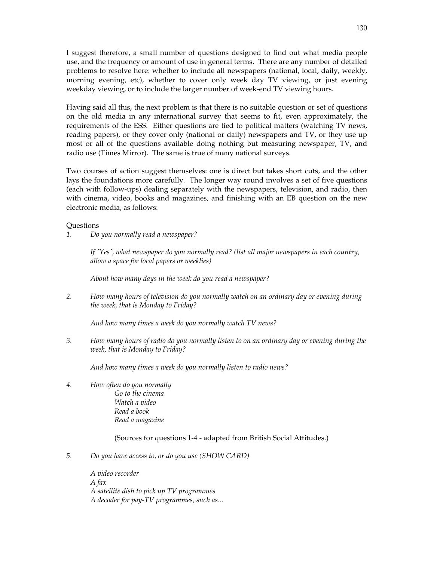I suggest therefore, a small number of questions designed to find out what media people use, and the frequency or amount of use in general terms. There are any number of detailed problems to resolve here: whether to include all newspapers (national, local, daily, weekly, morning evening, etc), whether to cover only week day TV viewing, or just evening weekday viewing, or to include the larger number of week-end TV viewing hours.

Having said all this, the next problem is that there is no suitable question or set of questions on the old media in any international survey that seems to fit, even approximately, the requirements of the ESS. Either questions are tied to political matters (watching TV news, reading papers), or they cover only (national or daily) newspapers and TV, or they use up most or all of the questions available doing nothing but measuring newspaper, TV, and radio use (Times Mirror). The same is true of many national surveys.

Two courses of action suggest themselves: one is direct but takes short cuts, and the other lays the foundations more carefully. The longer way round involves a set of five questions (each with follow-ups) dealing separately with the newspapers, television, and radio, then with cinema, video, books and magazines, and finishing with an EB question on the new electronic media, as follows:

#### **Ouestions**

*1. Do you normally read a newspaper?* 

*If 'Yes', what newspaper do you normally read? (list all major newspapers in each country, allow a space for local papers or weeklies)* 

*About how many days in the week do you read a newspaper?* 

*2. How many hours of television do you normally watch on an ordinary day or evening during the week, that is Monday to Friday?* 

*And how many times a week do you normally watch TV news?* 

*3. How many hours of radio do you normally listen to on an ordinary day or evening during the week, that is Monday to Friday?* 

*And how many times a week do you normally listen to radio news?* 

*4. How often do you normally Go to the cinema Watch a video Read a book Read a magazine* 

(Sources for questions 1-4 - adapted from British Social Attitudes.)

*5. Do you have access to, or do you use (SHOW CARD)*

 *A video recorder A fax A satellite dish to pick up TV programmes A decoder for pay-TV programmes, such as...*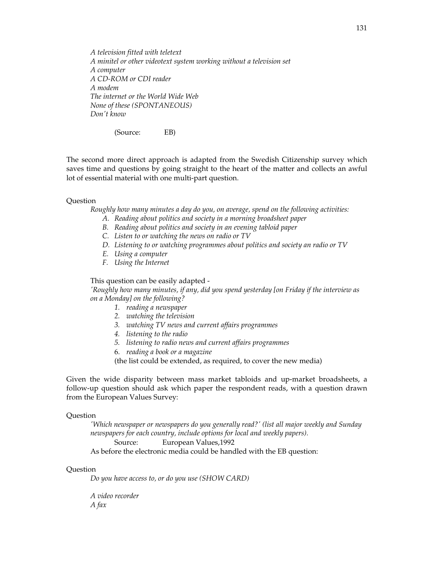*A television fitted with teletext A minitel or other videotext system working without a television set A computer A CD-ROM or CDI reader A modem The internet or the World Wide Web None of these (SPONTANEOUS) Don't know*

(Source: EB)

The second more direct approach is adapted from the Swedish Citizenship survey which saves time and questions by going straight to the heart of the matter and collects an awful lot of essential material with one multi-part question.

#### **Ouestion**

*Roughly how many minutes a day do you, on average, spend on the following activities:* 

- *A. Reading about politics and society in a morning broadsheet paper*
- *B. Reading about politics and society in an evening tabloid paper*
- *C. Listen to or watching the news on radio or TV*
- *D. Listening to or watching programmes about politics and society an radio or TV*
- *E. Using a computer*
- *F. Using the Internet*

This question can be easily adapted -

*'Roughly how many minutes, if any, did you spend yesterday [on Friday if the interview as on a Monday] on the following?* 

- *1. reading a newspaper*
- *2. watching the television*
- *3. watching TV news and current affairs programmes*
- *4. listening to the radio*
- *5. listening to radio news and current affairs programmes*
- 6. *reading a book or a magazine*

(the list could be extended, as required, to cover the new media)

Given the wide disparity between mass market tabloids and up-market broadsheets, a follow-up question should ask which paper the respondent reads, with a question drawn from the European Values Survey:

#### Question

*'Which newspaper or newspapers do you generally read?' (list all major weekly and Sunday newspapers for each country, include options for local and weekly papers).*  Source: European Values, 1992

As before the electronic media could be handled with the EB question:

#### **Ouestion**

*Do you have access to, or do you use (SHOW CARD)* 

 *A video recorder A fax*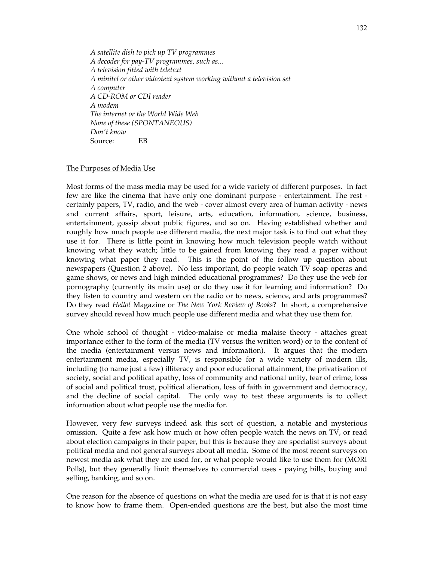*A satellite dish to pick up TV programmes A decoder for pay-TV programmes, such as... A television fitted with teletext A minitel or other videotext system working without a television set A computer A CD-ROM or CDI reader A modem The internet or the World Wide Web None of these (SPONTANEOUS) Don't know* Source: EB

#### The Purposes of Media Use

Most forms of the mass media may be used for a wide variety of different purposes. In fact few are like the cinema that have only one dominant purpose - entertainment. The rest certainly papers, TV, radio, and the web - cover almost every area of human activity - news and current affairs, sport, leisure, arts, education, information, science, business, entertainment, gossip about public figures, and so on. Having established whether and roughly how much people use different media, the next major task is to find out what they use it for. There is little point in knowing how much television people watch without knowing what they watch; little to be gained from knowing they read a paper without knowing what paper they read. This is the point of the follow up question about newspapers (Question 2 above). No less important, do people watch TV soap operas and game shows, or news and high minded educational programmes? Do they use the web for pornography (currently its main use) or do they use it for learning and information? Do they listen to country and western on the radio or to news, science, and arts programmes? Do they read *Hello!* Magazine or *The New York Review of Books*? In short, a comprehensive survey should reveal how much people use different media and what they use them for.

One whole school of thought - video-malaise or media malaise theory - attaches great importance either to the form of the media (TV versus the written word) or to the content of the media (entertainment versus news and information). It argues that the modern entertainment media, especially TV, is responsible for a wide variety of modern ills, including (to name just a few) illiteracy and poor educational attainment, the privatisation of society, social and political apathy, loss of community and national unity, fear of crime, loss of social and political trust, political alienation, loss of faith in government and democracy, and the decline of social capital. The only way to test these arguments is to collect information about what people use the media for.

However, very few surveys indeed ask this sort of question, a notable and mysterious omission. Quite a few ask how much or how often people watch the news on TV, or read about election campaigns in their paper, but this is because they are specialist surveys about political media and not general surveys about all media. Some of the most recent surveys on newest media ask what they are used for, or what people would like to use them for (MORI Polls), but they generally limit themselves to commercial uses - paying bills, buying and selling, banking, and so on.

One reason for the absence of questions on what the media are used for is that it is not easy to know how to frame them. Open-ended questions are the best, but also the most time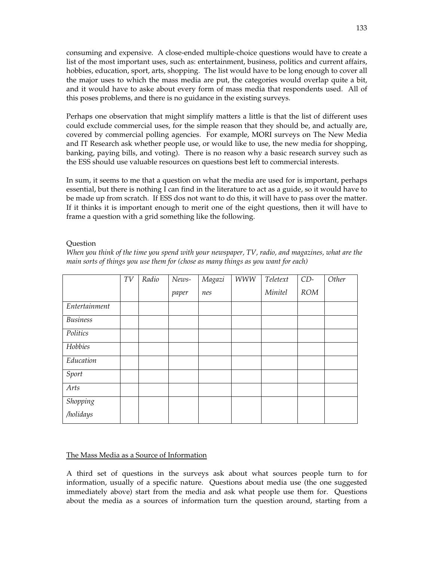consuming and expensive. A close-ended multiple-choice questions would have to create a list of the most important uses, such as: entertainment, business, politics and current affairs, hobbies, education, sport, arts, shopping. The list would have to be long enough to cover all the major uses to which the mass media are put, the categories would overlap quite a bit, and it would have to aske about every form of mass media that respondents used. All of this poses problems, and there is no guidance in the existing surveys.

Perhaps one observation that might simplify matters a little is that the list of different uses could exclude commercial uses, for the simple reason that they should be, and actually are, covered by commercial polling agencies. For example, MORI surveys on The New Media and IT Research ask whether people use, or would like to use, the new media for shopping, banking, paying bills, and voting). There is no reason why a basic research survey such as the ESS should use valuable resources on questions best left to commercial interests.

In sum, it seems to me that a question on what the media are used for is important, perhaps essential, but there is nothing I can find in the literature to act as a guide, so it would have to be made up from scratch. If ESS dos not want to do this, it will have to pass over the matter. If it thinks it is important enough to merit one of the eight questions, then it will have to frame a question with a grid something like the following.

#### **Question**

*When you think of the time you spend with your newspaper, TV, radio, and magazines, what are the main sorts of things you use them for (chose as many things as you want for each)* 

|                       | TV | Radio | News- | Magazi | <b>WWW</b> | Teletext | $CD-$      | Other |
|-----------------------|----|-------|-------|--------|------------|----------|------------|-------|
|                       |    |       | paper | nes    |            | Minitel  | <b>ROM</b> |       |
| Entertainment         |    |       |       |        |            |          |            |       |
| <b>Business</b>       |    |       |       |        |            |          |            |       |
| Politics              |    |       |       |        |            |          |            |       |
| Hobbies               |    |       |       |        |            |          |            |       |
| Education             |    |       |       |        |            |          |            |       |
| Sport                 |    |       |       |        |            |          |            |       |
| Arts                  |    |       |       |        |            |          |            |       |
| Shopping<br>/holidays |    |       |       |        |            |          |            |       |
|                       |    |       |       |        |            |          |            |       |

#### The Mass Media as a Source of Information

A third set of questions in the surveys ask about what sources people turn to for information, usually of a specific nature. Questions about media use (the one suggested immediately above) start from the media and ask what people use them for. Questions about the media as a sources of information turn the question around, starting from a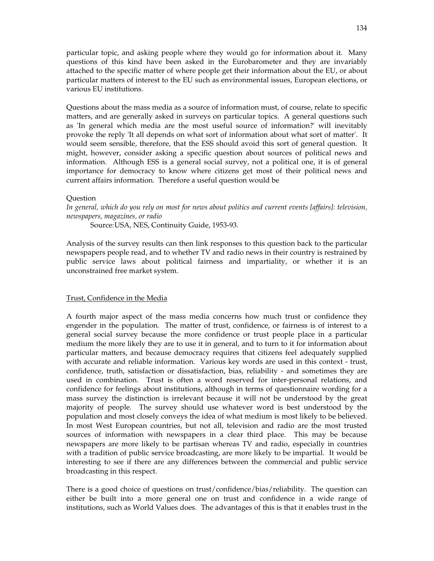particular topic, and asking people where they would go for information about it. Many questions of this kind have been asked in the Eurobarometer and they are invariably attached to the specific matter of where people get their information about the EU, or about particular matters of interest to the EU such as environmental issues, European elections, or various EU institutions.

Questions about the mass media as a source of information must, of course, relate to specific matters, and are generally asked in surveys on particular topics. A general questions such as 'In general which media are the most useful source of information?' will inevitably provoke the reply 'It all depends on what sort of information about what sort of matter'. It would seem sensible, therefore, that the ESS should avoid this sort of general question. It might, however, consider asking a specific question about sources of political news and information. Although ESS is a general social survey, not a political one, it is of general importance for democracy to know where citizens get most of their political news and current affairs information. Therefore a useful question would be

#### Question

*In general, which do you rely on most for news about politics and current events [affairs]: television, newspapers, magazines, or radio* 

Source: USA, NES, Continuity Guide, 1953-93.

Analysis of the survey results can then link responses to this question back to the particular newspapers people read, and to whether TV and radio news in their country is restrained by public service laws about political fairness and impartiality, or whether it is an unconstrained free market system.

#### Trust, Confidence in the Media

A fourth major aspect of the mass media concerns how much trust or confidence they engender in the population. The matter of trust, confidence, or fairness is of interest to a general social survey because the more confidence or trust people place in a particular medium the more likely they are to use it in general, and to turn to it for information about particular matters, and because democracy requires that citizens feel adequately supplied with accurate and reliable information. Various key words are used in this context - trust, confidence, truth, satisfaction or dissatisfaction, bias, reliability - and sometimes they are used in combination. Trust is often a word reserved for inter-personal relations, and confidence for feelings about institutions, although in terms of questionnaire wording for a mass survey the distinction is irrelevant because it will not be understood by the great majority of people. The survey should use whatever word is best understood by the population and most closely conveys the idea of what medium is most likely to be believed. In most West European countries, but not all, television and radio are the most trusted sources of information with newspapers in a clear third place. This may be because newspapers are more likely to be partisan whereas TV and radio, especially in countries with a tradition of public service broadcasting, are more likely to be impartial. It would be interesting to see if there are any differences between the commercial and public service broadcasting in this respect.

There is a good choice of questions on trust/confidence/bias/reliability. The question can either be built into a more general one on trust and confidence in a wide range of institutions, such as World Values does. The advantages of this is that it enables trust in the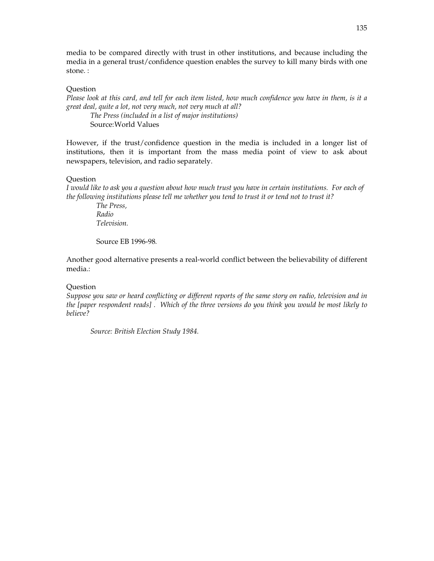media to be compared directly with trust in other institutions, and because including the media in a general trust/confidence question enables the survey to kill many birds with one stone. :

#### **Question**

*Please look at this card, and tell for each item listed, how much confidence you have in them, is it a great deal, quite a lot, not very much, not very much at all? The Press (included in a list of major institutions)* 

Source: World Values

However, if the trust/confidence question in the media is included in a longer list of institutions, then it is important from the mass media point of view to ask about newspapers, television, and radio separately.

#### Question

*I would like to ask you a question about how much trust you have in certain institutions. For each of the following institutions please tell me whether you tend to trust it or tend not to trust it?* 

 *The Press, Radio Television.* 

Source EB 1996-98*.*

Another good alternative presents a real-world conflict between the believability of different media.:

#### **Question**

*Suppose you saw or heard conflicting or different reports of the same story on radio, television and in the [paper respondent reads] . Which of the three versions do you think you would be most likely to believe?* 

 *Source: British Election Study 1984.*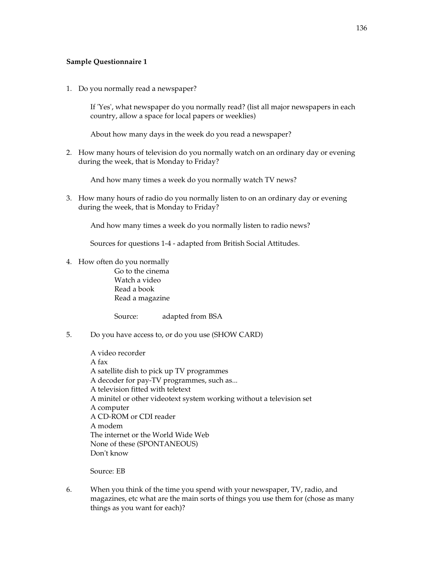#### **Sample Questionnaire 1**

1. Do you normally read a newspaper?

If 'Yes', what newspaper do you normally read? (list all major newspapers in each country, allow a space for local papers or weeklies)

About how many days in the week do you read a newspaper?

2. How many hours of television do you normally watch on an ordinary day or evening during the week, that is Monday to Friday?

And how many times a week do you normally watch TV news?

3. How many hours of radio do you normally listen to on an ordinary day or evening during the week, that is Monday to Friday?

And how many times a week do you normally listen to radio news?

Sources for questions 1-4 - adapted from British Social Attitudes.

4. How often do you normally

Go to the cinema Watch a video Read a book Read a magazine

Source: adapted from BSA

5. Do you have access to, or do you use (SHOW CARD)

 A video recorder A fax A satellite dish to pick up TV programmes A decoder for pay-TV programmes, such as... A television fitted with teletext A minitel or other videotext system working without a television set A computer A CD-ROM or CDI reader A modem The internet or the World Wide Web None of these (SPONTANEOUS) Don't know

Source: EB

6. When you think of the time you spend with your newspaper, TV, radio, and magazines, etc what are the main sorts of things you use them for (chose as many things as you want for each)?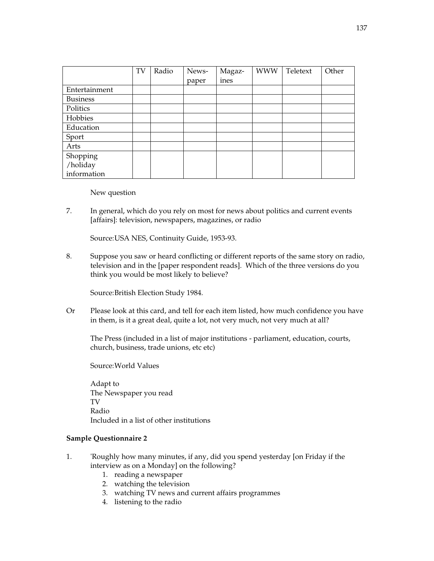|                 | TV | Radio | News-<br>paper | Magaz-<br>ines | <b>WWW</b> | Teletext | Other |
|-----------------|----|-------|----------------|----------------|------------|----------|-------|
| Entertainment   |    |       |                |                |            |          |       |
| <b>Business</b> |    |       |                |                |            |          |       |
| Politics        |    |       |                |                |            |          |       |
| Hobbies         |    |       |                |                |            |          |       |
| Education       |    |       |                |                |            |          |       |
| Sport           |    |       |                |                |            |          |       |
| Arts            |    |       |                |                |            |          |       |
| Shopping        |    |       |                |                |            |          |       |
| /holiday        |    |       |                |                |            |          |       |
| information     |    |       |                |                |            |          |       |

New question

7. In general, which do you rely on most for news about politics and current events [affairs]: television, newspapers, magazines, or radio

Source: USA NES, Continuity Guide, 1953-93.

8. Suppose you saw or heard conflicting or different reports of the same story on radio, television and in the [paper respondent reads]. Which of the three versions do you think you would be most likely to believe?

Source: British Election Study 1984.

Or Please look at this card, and tell for each item listed, how much confidence you have in them, is it a great deal, quite a lot, not very much, not very much at all?

The Press (included in a list of major institutions - parliament, education, courts, church, business, trade unions, etc etc)

Source: World Values

 Adapt to The Newspaper you read TV Radio Included in a list of other institutions

#### **Sample Questionnaire 2**

- 1. 'Roughly how many minutes, if any, did you spend yesterday [on Friday if the interview as on a Monday] on the following?
	- 1. reading a newspaper
	- 2. watching the television
	- 3. watching TV news and current affairs programmes
	- 4. listening to the radio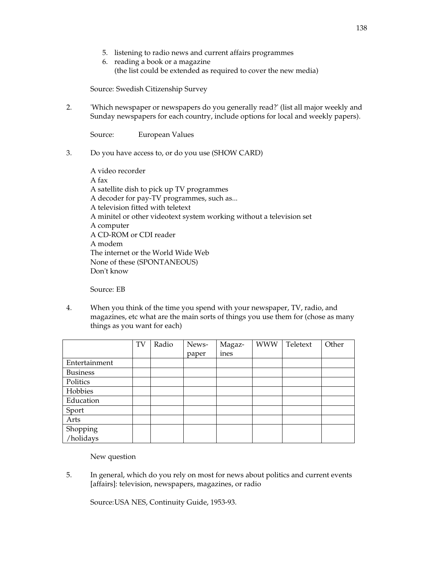- 5. listening to radio news and current affairs programmes
- 6. reading a book or a magazine (the list could be extended as required to cover the new media)

Source: Swedish Citizenship Survey

2. 'Which newspaper or newspapers do you generally read?' (list all major weekly and Sunday newspapers for each country, include options for local and weekly papers).

Source: European Values

3. Do you have access to, or do you use (SHOW CARD)

 A video recorder A fax A satellite dish to pick up TV programmes A decoder for pay-TV programmes, such as... A television fitted with teletext A minitel or other videotext system working without a television set A computer A CD-ROM or CDI reader A modem The internet or the World Wide Web None of these (SPONTANEOUS) Don't know

Source: EB

4. When you think of the time you spend with your newspaper, TV, radio, and magazines, etc what are the main sorts of things you use them for (chose as many things as you want for each)

|                 | TV | Radio | News- | Magaz- | <b>WWW</b> | Teletext | Other |
|-----------------|----|-------|-------|--------|------------|----------|-------|
|                 |    |       | paper | ines   |            |          |       |
| Entertainment   |    |       |       |        |            |          |       |
| <b>Business</b> |    |       |       |        |            |          |       |
| Politics        |    |       |       |        |            |          |       |
| Hobbies         |    |       |       |        |            |          |       |
| Education       |    |       |       |        |            |          |       |
| Sport           |    |       |       |        |            |          |       |
| Arts            |    |       |       |        |            |          |       |
| Shopping        |    |       |       |        |            |          |       |
| /holidays       |    |       |       |        |            |          |       |

New question

5. In general, which do you rely on most for news about politics and current events [affairs]: television, newspapers, magazines, or radio

Source: USA NES, Continuity Guide, 1953-93.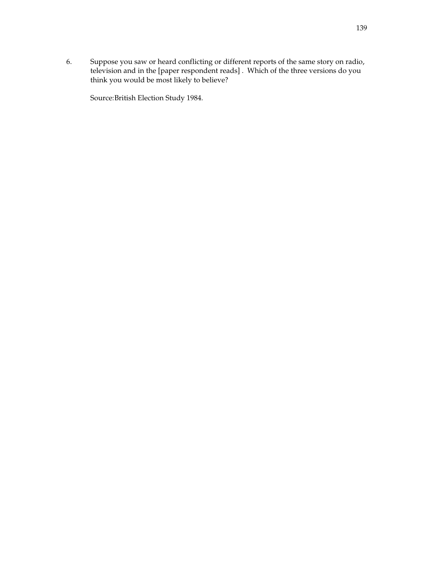6. Suppose you saw or heard conflicting or different reports of the same story on radio, television and in the [paper respondent reads] . Which of the three versions do you think you would be most likely to believe?

Source: British Election Study 1984.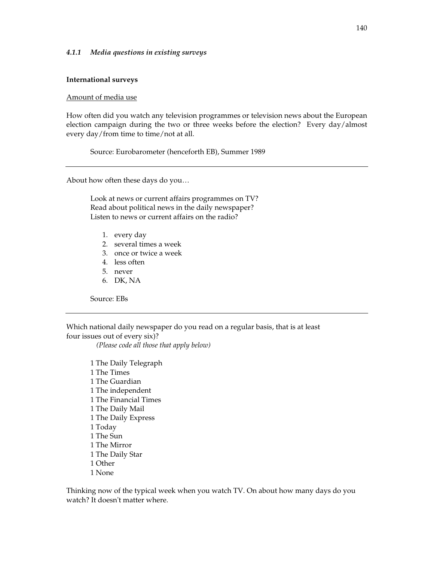#### *4.1.1 Media questions in existing surveys*

#### **International surveys**

#### Amount of media use

How often did you watch any television programmes or television news about the European election campaign during the two or three weeks before the election? Every day/almost every day/from time to time/not at all.

Source: Eurobarometer (henceforth EB), Summer 1989

About how often these days do you…

Look at news or current affairs programmes on TV? Read about political news in the daily newspaper? Listen to news or current affairs on the radio?

- 1. every day
- 2. several times a week
- 3. once or twice a week
- 4. less often
- 5. never
- 6. DK, NA

Source: EBs

Which national daily newspaper do you read on a regular basis, that is at least four issues out of every six)?

 *(Please code all those that apply below)* 

1 The Daily Telegraph 1 The Times 1 The Guardian 1 The independent 1 The Financial Times 1 The Daily Mail 1 The Daily Express 1 Today 1 The Sun 1 The Mirror 1 The Daily Star 1 Other 1 None

Thinking now of the typical week when you watch TV. On about how many days do you watch? It doesn't matter where.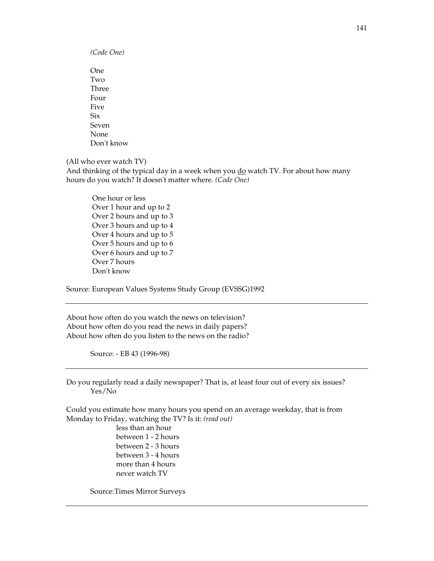*(Code One)* 

One Two Three Four Five Six Seven None Don't know

(All who ever watch TV)

And thinking of the typical day in a week when you do watch TV. For about how many hours do you watch? It doesn't matter where. *(Code One)*

 One hour or less Over 1 hour and up to 2 Over 2 hours and up to 3 Over 3 hours and up to 4 Over 4 hours and up to 5 Over 5 hours and up to 6 Over 6 hours and up to 7 Over 7 hours Don't know

Source: European Values Systems Study Group (EVSSG)1992

About how often do you watch the news on television? About how often do you read the news in daily papers? About how often do you listen to the news on the radio?

Source: - EB 43 (1996-98)

Do you regularly read a daily newspaper? That is, at least four out of every six issues? Yes/No

Could you estimate how many hours you spend on an average weekday, that is from Monday to Friday, watching the TV? Is it: *(read out)*

> less than an hour between 1 - 2 hours between 2 - 3 hours between 3 - 4 hours more than 4 hours never watch TV

Source: Times Mirror Surveys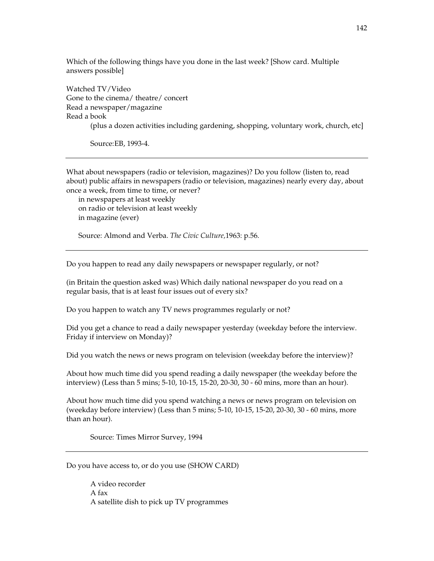Which of the following things have you done in the last week? [Show card. Multiple answers possible]

Watched TV/Video Gone to the cinema/ theatre/ concert Read a newspaper/magazine Read a book (plus a dozen activities including gardening, shopping, voluntary work, church, etc]

Source: EB, 1993-4.

What about newspapers (radio or television, magazines)? Do you follow (listen to, read about) public affairs in newspapers (radio or television, magazines) nearly every day, about once a week, from time to time, or never?

in newspapers at least weekly on radio or television at least weekly in magazine (ever)

Source: Almond and Verba. *The Civic Culture,*1963: p.56.

Do you happen to read any daily newspapers or newspaper regularly, or not?

(in Britain the question asked was) Which daily national newspaper do you read on a regular basis, that is at least four issues out of every six?

Do you happen to watch any TV news programmes regularly or not?

Did you get a chance to read a daily newspaper yesterday (weekday before the interview. Friday if interview on Monday)?

Did you watch the news or news program on television (weekday before the interview)?

About how much time did you spend reading a daily newspaper (the weekday before the interview) (Less than 5 mins; 5-10, 10-15, 15-20, 20-30, 30 - 60 mins, more than an hour).

About how much time did you spend watching a news or news program on television on (weekday before interview) (Less than 5 mins; 5-10, 10-15, 15-20, 20-30, 30 - 60 mins, more than an hour).

Source: Times Mirror Survey, 1994

Do you have access to, or do you use (SHOW CARD)

 A video recorder A fax A satellite dish to pick up TV programmes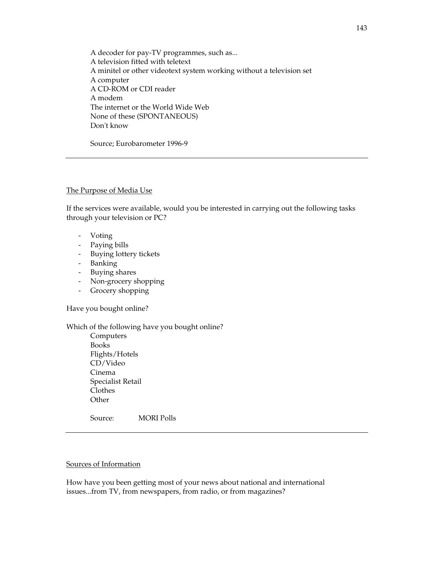A decoder for pay-TV programmes, such as... A television fitted with teletext A minitel or other videotext system working without a television set A computer A CD-ROM or CDI reader A modem The internet or the World Wide Web None of these (SPONTANEOUS) Don't know

Source; Eurobarometer 1996-9

#### The Purpose of Media Use

If the services were available, would you be interested in carrying out the following tasks through your television or PC?

- Voting
- Paying bills
- Buying lottery tickets
- Banking
- Buying shares
- Non-grocery shopping
- Grocery shopping

Have you bought online?

#### Which of the following have you bought online?

Computers Books Flights/Hotels CD/Video Cinema Specialist Retail Clothes **Other** 

Source: MORI Polls

#### Sources of Information

How have you been getting most of your news about national and international issues...from TV, from newspapers, from radio, or from magazines?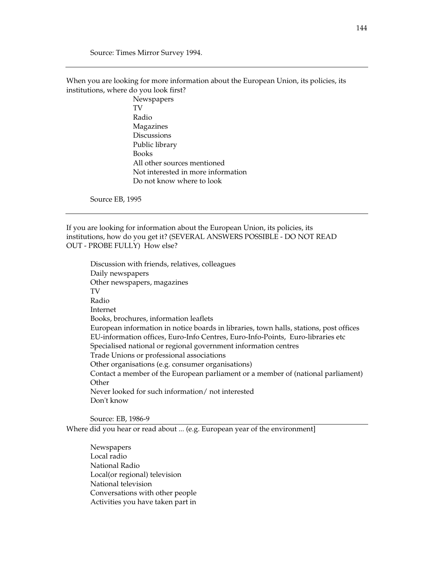Source: Times Mirror Survey 1994.

When you are looking for more information about the European Union, its policies, its institutions, where do you look first?

> Newspapers TV Radio Magazines **Discussions** Public library Books All other sources mentioned Not interested in more information Do not know where to look

Source EB, 1995

If you are looking for information about the European Union, its policies, its institutions, how do you get it? (SEVERAL ANSWERS POSSIBLE - DO NOT READ OUT - PROBE FULLY) How else?

Discussion with friends, relatives, colleagues Daily newspapers Other newspapers, magazines TV Radio Internet Books, brochures, information leaflets European information in notice boards in libraries, town halls, stations, post offices EU-information offices, Euro-Info Centres, Euro-Info-Points, Euro-libraries etc Specialised national or regional government information centres Trade Unions or professional associations Other organisations (e.g. consumer organisations) Contact a member of the European parliament or a member of (national parliament) Other Never looked for such information/ not interested Don't know

Source: EB, 1986-9

Where did you hear or read about ... (e.g. European year of the environment]

Newspapers Local radio National Radio Local(or regional) television National television Conversations with other people Activities you have taken part in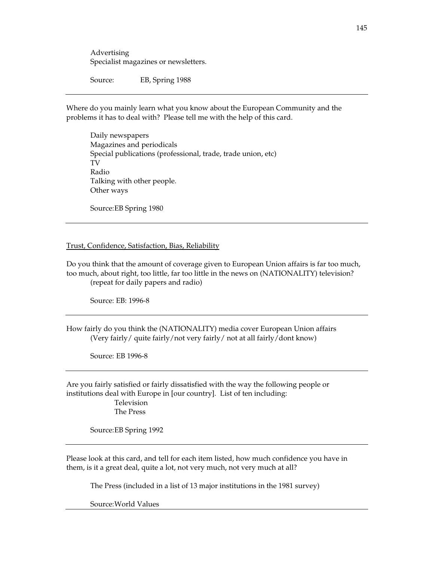Advertising Specialist magazines or newsletters.

Source: EB, Spring 1988

Where do you mainly learn what you know about the European Community and the problems it has to deal with? Please tell me with the help of this card.

Daily newspapers Magazines and periodicals Special publications (professional, trade, trade union, etc) TV Radio Talking with other people. Other ways

Source: EB Spring 1980

#### Trust, Confidence, Satisfaction, Bias, Reliability

Do you think that the amount of coverage given to European Union affairs is far too much, too much, about right, too little, far too little in the news on (NATIONALITY) television? (repeat for daily papers and radio)

Source: EB: 1996-8

How fairly do you think the (NATIONALITY) media cover European Union affairs (Very fairly/ quite fairly/not very fairly/ not at all fairly/dont know)

Source: EB 1996-8

Are you fairly satisfied or fairly dissatisfied with the way the following people or institutions deal with Europe in [our country]. List of ten including: Television The Press

Source: EB Spring 1992

Please look at this card, and tell for each item listed, how much confidence you have in them, is it a great deal, quite a lot, not very much, not very much at all?

The Press (included in a list of 13 major institutions in the 1981 survey)

Source: World Values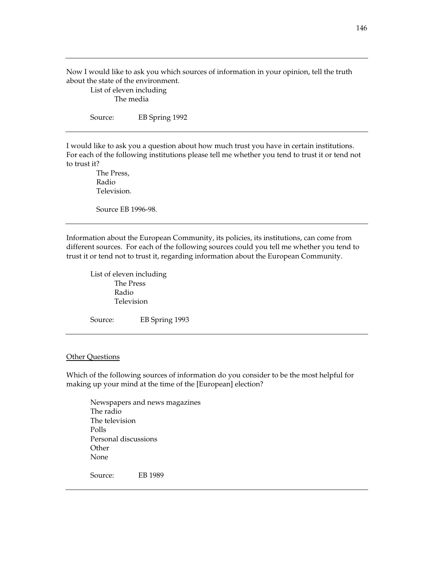Now I would like to ask you which sources of information in your opinion, tell the truth about the state of the environment.

 List of eleven including The media

Source: EB Spring 1992

I would like to ask you a question about how much trust you have in certain institutions. For each of the following institutions please tell me whether you tend to trust it or tend not to trust it?

 The Press, Radio Television.

Source EB 1996-98.

Information about the European Community, its policies, its institutions, can come from different sources. For each of the following sources could you tell me whether you tend to trust it or tend not to trust it, regarding information about the European Community.

 List of eleven including The Press Radio Television

Source: EB Spring 1993

#### **Other Questions**

Which of the following sources of information do you consider to be the most helpful for making up your mind at the time of the [European] election?

Newspapers and news magazines The radio The television Polls Personal discussions **Other** None Source: EB 1989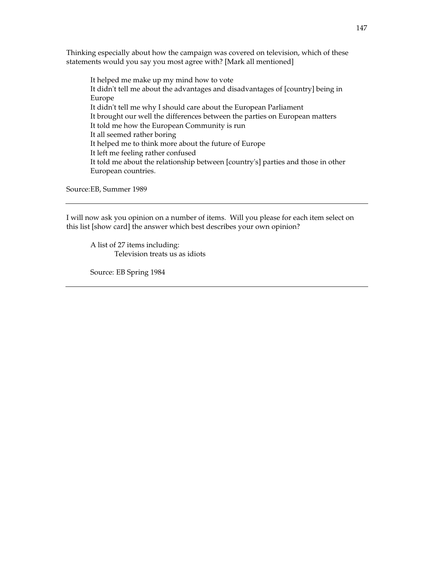Thinking especially about how the campaign was covered on television, which of these statements would you say you most agree with? [Mark all mentioned]

It helped me make up my mind how to vote It didn't tell me about the advantages and disadvantages of [country] being in Europe It didn't tell me why I should care about the European Parliament It brought our well the differences between the parties on European matters It told me how the European Community is run It all seemed rather boring It helped me to think more about the future of Europe It left me feeling rather confused It told me about the relationship between [country's] parties and those in other European countries.

Source: EB, Summer 1989

I will now ask you opinion on a number of items. Will you please for each item select on this list [show card] the answer which best describes your own opinion?

 A list of 27 items including: Television treats us as idiots

Source: EB Spring 1984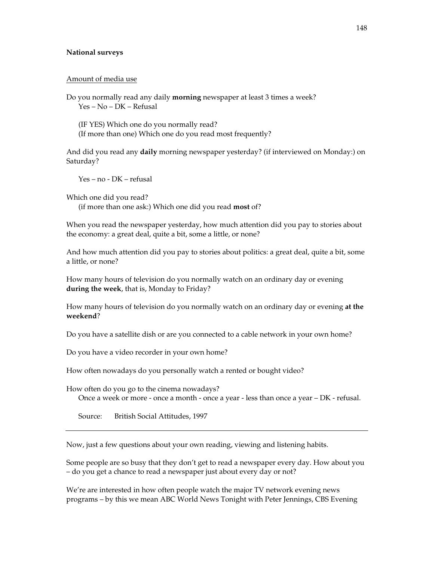#### **National surveys**

#### Amount of media use

Do you normally read any daily **morning** newspaper at least 3 times a week? Yes – No – DK – Refusal

(IF YES) Which one do you normally read? (If more than one) Which one do you read most frequently?

And did you read any **daily** morning newspaper yesterday? (if interviewed on Monday:) on Saturday?

Yes – no - DK – refusal

Which one did you read?

(if more than one ask:) Which one did you read **most** of?

When you read the newspaper yesterday, how much attention did you pay to stories about the economy: a great deal, quite a bit, some a little, or none?

And how much attention did you pay to stories about politics: a great deal, quite a bit, some a little, or none?

How many hours of television do you normally watch on an ordinary day or evening **during the week**, that is, Monday to Friday?

How many hours of television do you normally watch on an ordinary day or evening **at the weekend**?

Do you have a satellite dish or are you connected to a cable network in your own home?

Do you have a video recorder in your own home?

How often nowadays do you personally watch a rented or bought video?

How often do you go to the cinema nowadays? Once a week or more - once a month - once a year - less than once a year – DK - refusal.

Source: British Social Attitudes, 1997

Now, just a few questions about your own reading, viewing and listening habits.

Some people are so busy that they don't get to read a newspaper every day. How about you – do you get a chance to read a newspaper just about every day or not?

We're are interested in how often people watch the major TV network evening news programs – by this we mean ABC World News Tonight with Peter Jennings, CBS Evening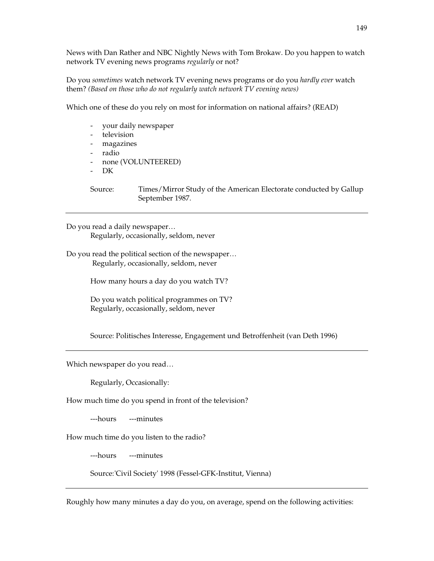News with Dan Rather and NBC Nightly News with Tom Brokaw. Do you happen to watch network TV evening news programs *regularly* or not?

Do you *sometimes* watch network TV evening news programs or do you *hardly ever* watch them? *(Based on those who do not regularly watch network TV evening news)*

Which one of these do you rely on most for information on national affairs? (READ)

- your daily newspaper
- television
- magazines
- radio
- none (VOLUNTEERED)
- DK

Source: Times/Mirror Study of the American Electorate conducted by Gallup September 1987.

Do you read a daily newspaper… Regularly, occasionally, seldom, never

Do you read the political section of the newspaper… Regularly, occasionally, seldom, never

How many hours a day do you watch TV?

Do you watch political programmes on TV? Regularly, occasionally, seldom, never

Source: Politisches Interesse, Engagement und Betroffenheit (van Deth 1996)

Which newspaper do you read…

Regularly, Occasionally:

How much time do you spend in front of the television?

---hours ---minutes

How much time do you listen to the radio?

---hours ---minutes

Source: 'Civil Society' 1998 (Fessel-GFK-Institut, Vienna)

Roughly how many minutes a day do you, on average, spend on the following activities: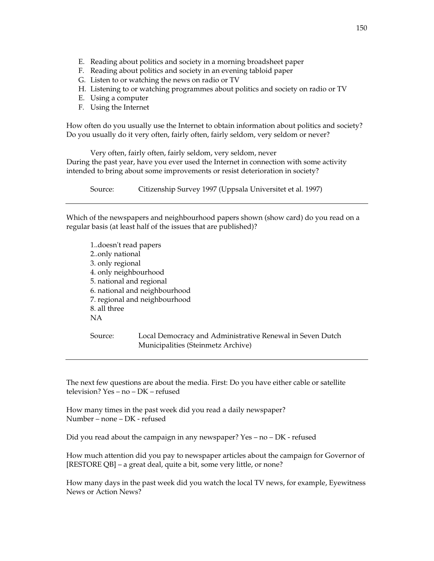- E. Reading about politics and society in a morning broadsheet paper
- F. Reading about politics and society in an evening tabloid paper
- G. Listen to or watching the news on radio or TV
- H. Listening to or watching programmes about politics and society on radio or TV
- E. Using a computer
- F. Using the Internet

How often do you usually use the Internet to obtain information about politics and society? Do you usually do it very often, fairly often, fairly seldom, very seldom or never?

Very often, fairly often, fairly seldom, very seldom, never During the past year, have you ever used the Internet in connection with some activity

intended to bring about some improvements or resist deterioration in society?

Source: Citizenship Survey 1997 (Uppsala Universitet et al. 1997)

Which of the newspapers and neighbourhood papers shown (show card) do you read on a regular basis (at least half of the issues that are published)?

1..doesn't read papers 2..only national 3. only regional 4. only neighbourhood 5. national and regional 6. national and neighbourhood 7. regional and neighbourhood 8. all three NA

Source: Local Democracy and Administrative Renewal in Seven Dutch Municipalities (Steinmetz Archive)

The next few questions are about the media. First: Do you have either cable or satellite television? Yes – no – DK – refused

How many times in the past week did you read a daily newspaper? Number – none – DK - refused

Did you read about the campaign in any newspaper? Yes – no – DK - refused

How much attention did you pay to newspaper articles about the campaign for Governor of [RESTORE QB] – a great deal, quite a bit, some very little, or none?

How many days in the past week did you watch the local TV news, for example, Eyewitness News or Action News?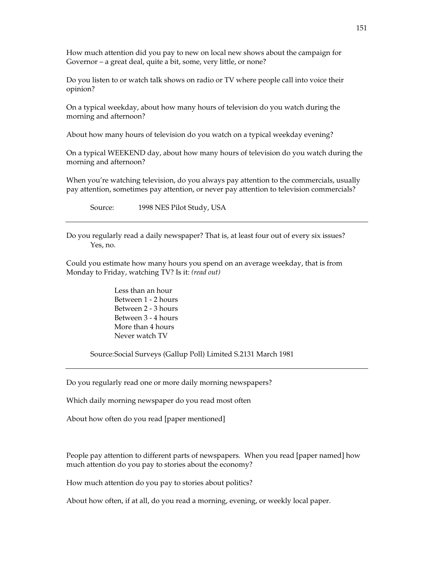How much attention did you pay to new on local new shows about the campaign for Governor – a great deal, quite a bit, some, very little, or none?

Do you listen to or watch talk shows on radio or TV where people call into voice their opinion?

On a typical weekday, about how many hours of television do you watch during the morning and afternoon?

About how many hours of television do you watch on a typical weekday evening?

On a typical WEEKEND day, about how many hours of television do you watch during the morning and afternoon?

When you're watching television, do you always pay attention to the commercials, usually pay attention, sometimes pay attention, or never pay attention to television commercials?

Source: 1998 NES Pilot Study, USA

Do you regularly read a daily newspaper? That is, at least four out of every six issues? Yes, no.

Could you estimate how many hours you spend on an average weekday, that is from Monday to Friday, watching TV? Is it: *(read out)* 

> Less than an hour Between 1 - 2 hours Between 2 - 3 hours Between 3 - 4 hours More than 4 hours Never watch TV

Source: Social Surveys (Gallup Poll) Limited S.2131 March 1981

Do you regularly read one or more daily morning newspapers?

Which daily morning newspaper do you read most often

About how often do you read [paper mentioned]

People pay attention to different parts of newspapers. When you read [paper named] how much attention do you pay to stories about the economy?

How much attention do you pay to stories about politics?

About how often, if at all, do you read a morning, evening, or weekly local paper.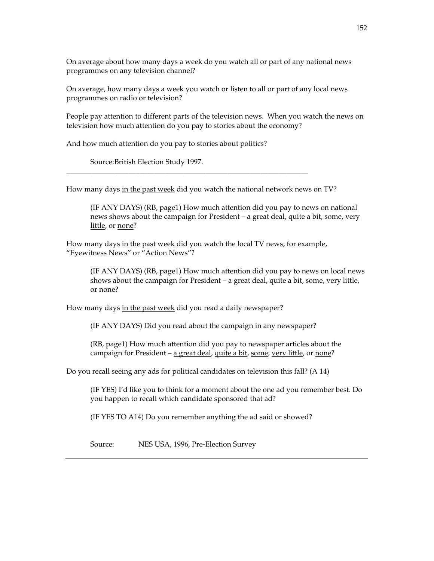On average about how many days a week do you watch all or part of any national news programmes on any television channel?

On average, how many days a week you watch or listen to all or part of any local news programmes on radio or television?

People pay attention to different parts of the television news. When you watch the news on television how much attention do you pay to stories about the economy?

And how much attention do you pay to stories about politics?

Source: British Election Study 1997.

How many days in the past week did you watch the national network news on TV?

\_\_\_\_\_\_\_\_\_\_\_\_\_\_\_\_\_\_\_\_\_\_\_\_\_\_\_\_\_\_\_\_\_\_\_\_\_\_\_\_\_\_\_\_\_\_\_\_\_\_\_\_\_\_\_\_\_\_\_\_\_\_\_\_\_\_

(IF ANY DAYS) (RB, page1) How much attention did you pay to news on national news shows about the campaign for President  $-$  a great deal, quite a bit, some, very little, or none?

How many days in the past week did you watch the local TV news, for example, "Eyewitness News" or "Action News"?

(IF ANY DAYS) (RB, page1) How much attention did you pay to news on local news shows about the campaign for President – a great deal, quite a bit, some, very little, or none?

How many days in the past week did you read a daily newspaper?

(IF ANY DAYS) Did you read about the campaign in any newspaper?

(RB, page1) How much attention did you pay to newspaper articles about the campaign for President – a great deal, quite a bit, some, very little, or none?

Do you recall seeing any ads for political candidates on television this fall? (A 14)

(IF YES) I'd like you to think for a moment about the one ad you remember best. Do you happen to recall which candidate sponsored that ad?

(IF YES TO A14) Do you remember anything the ad said or showed?

Source: NES USA, 1996, Pre-Election Survey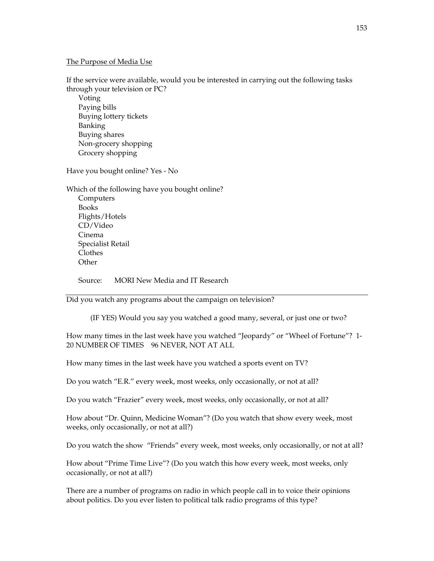#### The Purpose of Media Use

If the service were available, would you be interested in carrying out the following tasks through your television or PC?

Voting Paying bills Buying lottery tickets Banking Buying shares Non-grocery shopping Grocery shopping

Have you bought online? Yes - No

Which of the following have you bought online? Computers Books Flights/Hotels CD/Video Cinema Specialist Retail Clothes **Other** 

Source: MORI New Media and IT Research

Did you watch any programs about the campaign on television?

(IF YES) Would you say you watched a good many, several, or just one or two?

How many times in the last week have you watched "Jeopardy" or "Wheel of Fortune"? 1- 20 NUMBER OF TIMES 96 NEVER, NOT AT ALL

How many times in the last week have you watched a sports event on TV?

Do you watch "E.R." every week, most weeks, only occasionally, or not at all?

Do you watch "Frazier" every week, most weeks, only occasionally, or not at all?

How about "Dr. Quinn, Medicine Woman"? (Do you watch that show every week, most weeks, only occasionally, or not at all?)

Do you watch the show "Friends" every week, most weeks, only occasionally, or not at all?

How about "Prime Time Live"? (Do you watch this how every week, most weeks, only occasionally, or not at all?)

There are a number of programs on radio in which people call in to voice their opinions about politics. Do you ever listen to political talk radio programs of this type?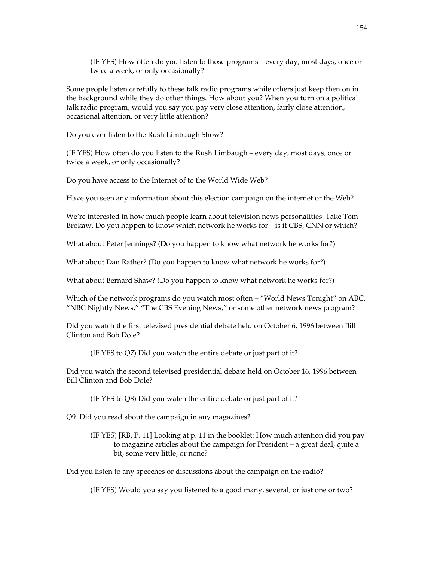(IF YES) How often do you listen to those programs – every day, most days, once or twice a week, or only occasionally?

Some people listen carefully to these talk radio programs while others just keep then on in the background while they do other things. How about you? When you turn on a political talk radio program, would you say you pay very close attention, fairly close attention, occasional attention, or very little attention?

Do you ever listen to the Rush Limbaugh Show?

(IF YES) How often do you listen to the Rush Limbaugh – every day, most days, once or twice a week, or only occasionally?

Do you have access to the Internet of to the World Wide Web?

Have you seen any information about this election campaign on the internet or the Web?

We're interested in how much people learn about television news personalities. Take Tom Brokaw. Do you happen to know which network he works for – is it CBS, CNN or which?

What about Peter Jennings? (Do you happen to know what network he works for?)

What about Dan Rather? (Do you happen to know what network he works for?)

What about Bernard Shaw? (Do you happen to know what network he works for?)

Which of the network programs do you watch most often – "World News Tonight" on ABC, "NBC Nightly News," "The CBS Evening News," or some other network news program?

Did you watch the first televised presidential debate held on October 6, 1996 between Bill Clinton and Bob Dole?

(IF YES to Q7) Did you watch the entire debate or just part of it?

Did you watch the second televised presidential debate held on October 16, 1996 between Bill Clinton and Bob Dole?

(IF YES to Q8) Did you watch the entire debate or just part of it?

Q9. Did you read about the campaign in any magazines?

(IF YES) [RB, P. 11] Looking at p. 11 in the booklet: How much attention did you pay to magazine articles about the campaign for President – a great deal, quite a bit, some very little, or none?

Did you listen to any speeches or discussions about the campaign on the radio?

(IF YES) Would you say you listened to a good many, several, or just one or two?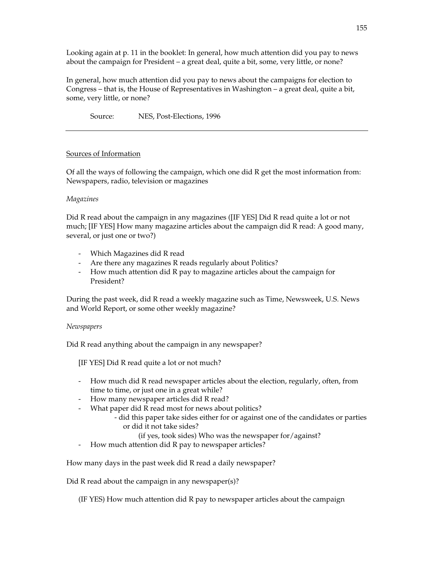Looking again at p. 11 in the booklet: In general, how much attention did you pay to news about the campaign for President – a great deal, quite a bit, some, very little, or none?

In general, how much attention did you pay to news about the campaigns for election to Congress – that is, the House of Representatives in Washington – a great deal, quite a bit, some, very little, or none?

Source: NES, Post-Elections, 1996

# Sources of Information

Of all the ways of following the campaign, which one did R get the most information from: Newspapers, radio, television or magazines

#### *Magazines*

Did R read about the campaign in any magazines ([IF YES] Did R read quite a lot or not much; [IF YES] How many magazine articles about the campaign did R read: A good many, several, or just one or two?)

- Which Magazines did R read
- Are there any magazines R reads regularly about Politics?
- How much attention did R pay to magazine articles about the campaign for President?

During the past week, did R read a weekly magazine such as Time, Newsweek, U.S. News and World Report, or some other weekly magazine?

#### *Newspapers*

Did R read anything about the campaign in any newspaper?

[IF YES] Did R read quite a lot or not much?

- How much did R read newspaper articles about the election, regularly, often, from time to time, or just one in a great while?
- How many newspaper articles did R read?
- What paper did R read most for news about politics?
	- did this paper take sides either for or against one of the candidates or parties or did it not take sides?
		- (if yes, took sides) Who was the newspaper for/against?
- How much attention did R pay to newspaper articles?

How many days in the past week did R read a daily newspaper?

Did R read about the campaign in any newspaper(s)?

(IF YES) How much attention did R pay to newspaper articles about the campaign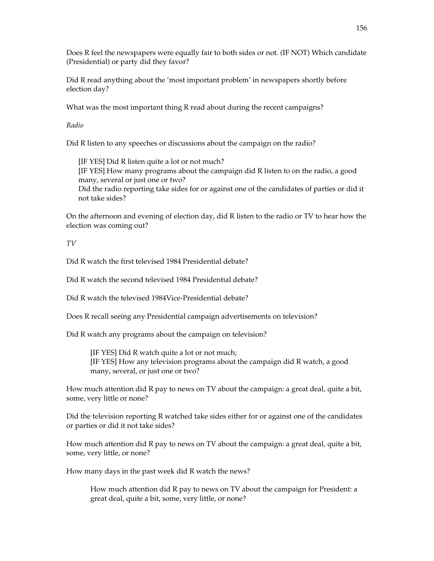Does R feel the newspapers were equally fair to both sides or not. (IF NOT) Which candidate (Presidential) or party did they favor?

Did R read anything about the 'most important problem' in newspapers shortly before election day?

What was the most important thing R read about during the recent campaigns?

*Radio* 

Did R listen to any speeches or discussions about the campaign on the radio?

[IF YES] Did R listen quite a lot or not much? [IF YES] How many programs about the campaign did R listen to on the radio, a good many, several or just one or two? Did the radio reporting take sides for or against one of the candidates of parties or did it not take sides?

On the afternoon and evening of election day, did R listen to the radio or TV to hear how the election was coming out?

*TV* 

Did R watch the first televised 1984 Presidential debate?

Did R watch the second televised 1984 Presidential debate?

Did R watch the televised 1984Vice-Presidential debate?

Does R recall seeing any Presidential campaign advertisements on television?

Did R watch any programs about the campaign on television?

[IF YES] Did R watch quite a lot or not much; [IF YES] How any television programs about the campaign did R watch, a good many, several, or just one or two?

How much attention did R pay to news on TV about the campaign: a great deal, quite a bit, some, very little or none?

Did the television reporting R watched take sides either for or against one of the candidates or parties or did it not take sides?

How much attention did R pay to news on TV about the campaign: a great deal, quite a bit, some, very little, or none?

How many days in the past week did R watch the news?

How much attention did R pay to news on TV about the campaign for President: a great deal, quite a bit, some, very little, or none?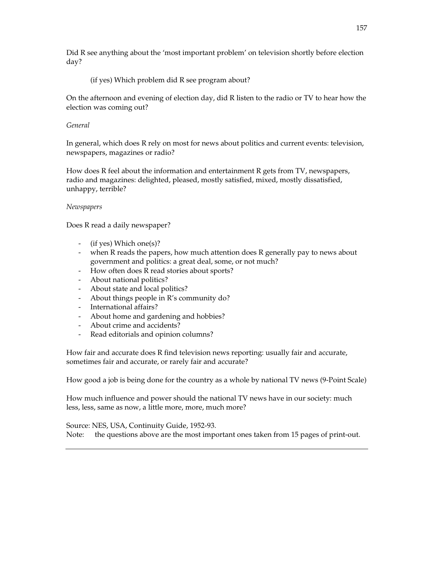Did R see anything about the 'most important problem' on television shortly before election day?

# (if yes) Which problem did R see program about?

On the afternoon and evening of election day, did R listen to the radio or TV to hear how the election was coming out?

## *General*

In general, which does R rely on most for news about politics and current events: television, newspapers, magazines or radio?

How does R feel about the information and entertainment R gets from TV, newspapers, radio and magazines: delighted, pleased, mostly satisfied, mixed, mostly dissatisfied, unhappy, terrible?

#### *Newspapers*

Does R read a daily newspaper?

- (if yes) Which one(s)?
- when R reads the papers, how much attention does R generally pay to news about government and politics: a great deal, some, or not much?
- How often does R read stories about sports?
- About national politics?
- About state and local politics?
- About things people in R's community do?
- International affairs?
- About home and gardening and hobbies?
- About crime and accidents?
- Read editorials and opinion columns?

How fair and accurate does R find television news reporting: usually fair and accurate, sometimes fair and accurate, or rarely fair and accurate?

How good a job is being done for the country as a whole by national TV news (9-Point Scale)

How much influence and power should the national TV news have in our society: much less, less, same as now, a little more, more, much more?

Source: NES, USA, Continuity Guide, 1952-93.

Note: the questions above are the most important ones taken from 15 pages of print-out.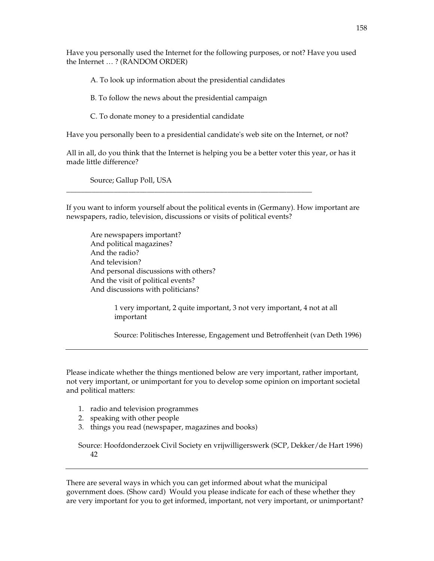Have you personally used the Internet for the following purposes, or not? Have you used the Internet … ? (RANDOM ORDER)

A. To look up information about the presidential candidates

\_\_\_\_\_\_\_\_\_\_\_\_\_\_\_\_\_\_\_\_\_\_\_\_\_\_\_\_\_\_\_\_\_\_\_\_\_\_\_\_\_\_\_\_\_\_\_\_\_\_\_\_\_\_\_\_\_\_\_\_\_\_\_\_\_\_\_

B. To follow the news about the presidential campaign

C. To donate money to a presidential candidate

Have you personally been to a presidential candidate's web site on the Internet, or not?

All in all, do you think that the Internet is helping you be a better voter this year, or has it made little difference?

Source; Gallup Poll, USA

If you want to inform yourself about the political events in (Germany). How important are newspapers, radio, television, discussions or visits of political events?

Are newspapers important? And political magazines? And the radio? And television? And personal discussions with others? And the visit of political events? And discussions with politicians?

> 1 very important, 2 quite important, 3 not very important, 4 not at all important

Source: Politisches Interesse, Engagement und Betroffenheit (van Deth 1996)

Please indicate whether the things mentioned below are very important, rather important, not very important, or unimportant for you to develop some opinion on important societal and political matters:

- 1. radio and television programmes
- 2. speaking with other people
- 3. things you read (newspaper, magazines and books)

Source: Hoofdonderzoek Civil Society en vrijwilligerswerk (SCP, Dekker/de Hart 1996) 42

There are several ways in which you can get informed about what the municipal government does. (Show card) Would you please indicate for each of these whether they are very important for you to get informed, important, not very important, or unimportant?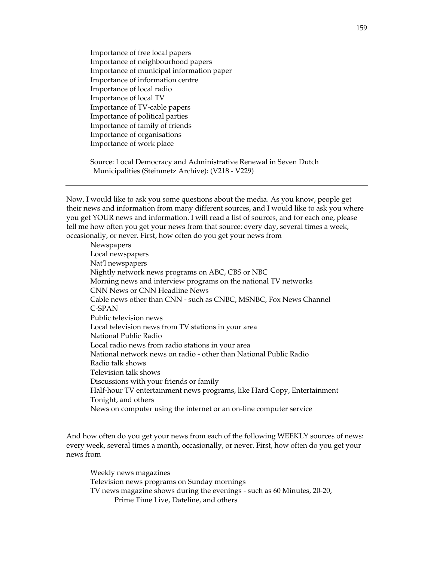Importance of free local papers Importance of neighbourhood papers Importance of municipal information paper Importance of information centre Importance of local radio Importance of local TV Importance of TV-cable papers Importance of political parties Importance of family of friends Importance of organisations Importance of work place

Source: Local Democracy and Administrative Renewal in Seven Dutch Municipalities (Steinmetz Archive): (V218 - V229)

Now, I would like to ask you some questions about the media. As you know, people get their news and information from many different sources, and I would like to ask you where you get YOUR news and information. I will read a list of sources, and for each one, please tell me how often you get your news from that source: every day, several times a week, occasionally, or never. First, how often do you get your news from

Newspapers Local newspapers Nat'l newspapers Nightly network news programs on ABC, CBS or NBC Morning news and interview programs on the national TV networks CNN News or CNN Headline News Cable news other than CNN - such as CNBC, MSNBC, Fox News Channel C-SPAN Public television news Local television news from TV stations in your area National Public Radio Local radio news from radio stations in your area National network news on radio - other than National Public Radio Radio talk shows Television talk shows Discussions with your friends or family Half-hour TV entertainment news programs, like Hard Copy, Entertainment Tonight, and others News on computer using the internet or an on-line computer service

And how often do you get your news from each of the following WEEKLY sources of news: every week, several times a month, occasionally, or never. First, how often do you get your news from

Weekly news magazines Television news programs on Sunday mornings TV news magazine shows during the evenings - such as 60 Minutes, 20-20, Prime Time Live, Dateline, and others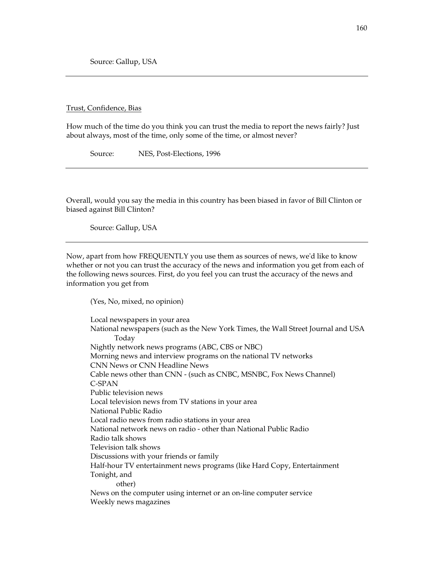Source: Gallup, USA

Trust, Confidence, Bias

How much of the time do you think you can trust the media to report the news fairly? Just about always, most of the time, only some of the time, or almost never?

Source: NES, Post-Elections, 1996

Overall, would you say the media in this country has been biased in favor of Bill Clinton or biased against Bill Clinton?

Source: Gallup, USA

Now, apart from how FREQUENTLY you use them as sources of news, we'd like to know whether or not you can trust the accuracy of the news and information you get from each of the following news sources. First, do you feel you can trust the accuracy of the news and information you get from

(Yes, No, mixed, no opinion)

Local newspapers in your area National newspapers (such as the New York Times, the Wall Street Journal and USA Today Nightly network news programs (ABC, CBS or NBC) Morning news and interview programs on the national TV networks CNN News or CNN Headline News Cable news other than CNN - (such as CNBC, MSNBC, Fox News Channel) C-SPAN Public television news Local television news from TV stations in your area National Public Radio Local radio news from radio stations in your area National network news on radio - other than National Public Radio Radio talk shows Television talk shows Discussions with your friends or family Half-hour TV entertainment news programs (like Hard Copy, Entertainment Tonight, and other) News on the computer using internet or an on-line computer service Weekly news magazines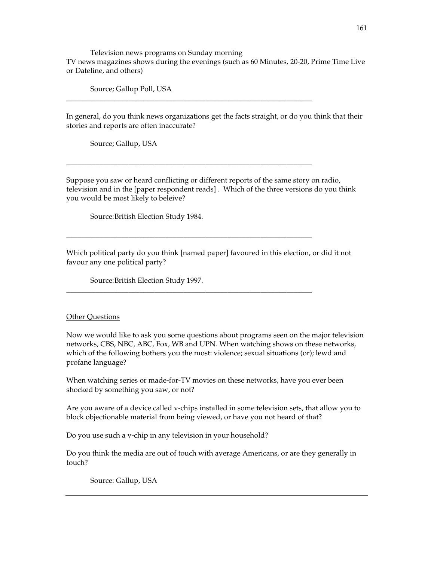Television news programs on Sunday morning TV news magazines shows during the evenings (such as 60 Minutes, 20-20, Prime Time Live or Dateline, and others)

Source; Gallup Poll, USA

In general, do you think news organizations get the facts straight, or do you think that their stories and reports are often inaccurate?

\_\_\_\_\_\_\_\_\_\_\_\_\_\_\_\_\_\_\_\_\_\_\_\_\_\_\_\_\_\_\_\_\_\_\_\_\_\_\_\_\_\_\_\_\_\_\_\_\_\_\_\_\_\_\_\_\_\_\_\_\_\_\_\_\_\_\_

\_\_\_\_\_\_\_\_\_\_\_\_\_\_\_\_\_\_\_\_\_\_\_\_\_\_\_\_\_\_\_\_\_\_\_\_\_\_\_\_\_\_\_\_\_\_\_\_\_\_\_\_\_\_\_\_\_\_\_\_\_\_\_\_\_\_\_

\_\_\_\_\_\_\_\_\_\_\_\_\_\_\_\_\_\_\_\_\_\_\_\_\_\_\_\_\_\_\_\_\_\_\_\_\_\_\_\_\_\_\_\_\_\_\_\_\_\_\_\_\_\_\_\_\_\_\_\_\_\_\_\_\_\_\_

\_\_\_\_\_\_\_\_\_\_\_\_\_\_\_\_\_\_\_\_\_\_\_\_\_\_\_\_\_\_\_\_\_\_\_\_\_\_\_\_\_\_\_\_\_\_\_\_\_\_\_\_\_\_\_\_\_\_\_\_\_\_\_\_\_\_\_

Source; Gallup, USA

Suppose you saw or heard conflicting or different reports of the same story on radio, television and in the [paper respondent reads] . Which of the three versions do you think you would be most likely to beleive?

Source: British Election Study 1984.

Which political party do you think [named paper] favoured in this election, or did it not favour any one political party?

Source: British Election Study 1997.

#### **Other Questions**

Now we would like to ask you some questions about programs seen on the major television networks, CBS, NBC, ABC, Fox, WB and UPN. When watching shows on these networks, which of the following bothers you the most: violence; sexual situations (or); lewd and profane language?

When watching series or made-for-TV movies on these networks, have you ever been shocked by something you saw, or not?

Are you aware of a device called v-chips installed in some television sets, that allow you to block objectionable material from being viewed, or have you not heard of that?

Do you use such a v-chip in any television in your household?

Do you think the media are out of touch with average Americans, or are they generally in touch?

Source: Gallup, USA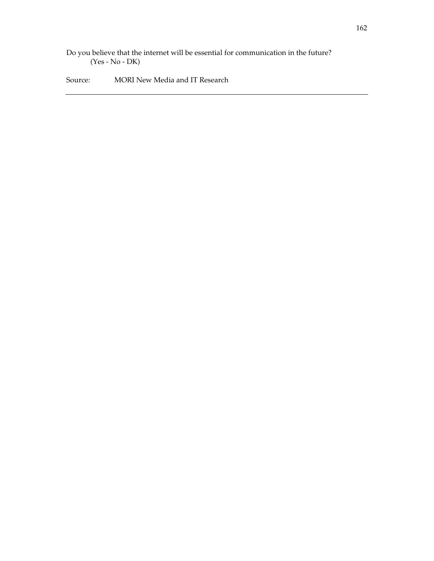Do you believe that the internet will be essential for communication in the future? (Yes - No - DK)

Source: MORI New Media and IT Research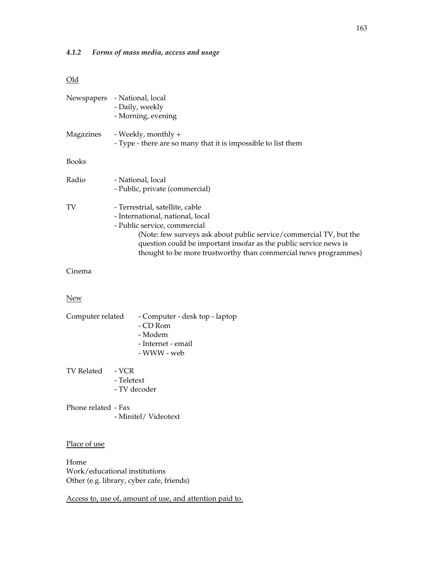# *4.1.2 Forms of mass media, access and usage*

# Old

|           | Newspapers - National, local<br>- Daily, weekly<br>- Morning, evening                                                                                                                                                                                                                                             |
|-----------|-------------------------------------------------------------------------------------------------------------------------------------------------------------------------------------------------------------------------------------------------------------------------------------------------------------------|
| Magazines | - Weekly, monthly +<br>- Type - there are so many that it is impossible to list them                                                                                                                                                                                                                              |
| Books     |                                                                                                                                                                                                                                                                                                                   |
| Radio     | - National, local<br>- Public, private (commercial)                                                                                                                                                                                                                                                               |
| TV        | - Terrestrial, satellite, cable<br>- International, national, local<br>- Public service, commercial<br>(Note: few surveys ask about public service/commercial TV, but the<br>question could be important insofar as the public service news is<br>thought to be more trustworthy than commercial news programmes) |
| Cinema    |                                                                                                                                                                                                                                                                                                                   |

# New

| Computer related    | - CD Rom<br>- Modem                 | - Computer - desk top - laptop<br>- Internet - email<br>- WWW - web |
|---------------------|-------------------------------------|---------------------------------------------------------------------|
| TV Related          | - VCR<br>- Teletext<br>- TV decoder |                                                                     |
| Phone related - Fax |                                     |                                                                     |

- Minitel/ Videotext

# Place of use

Home Work/educational institutions Other (e.g. library, cyber cafe, friends)

Access to, use of, amount of use, and attention paid to.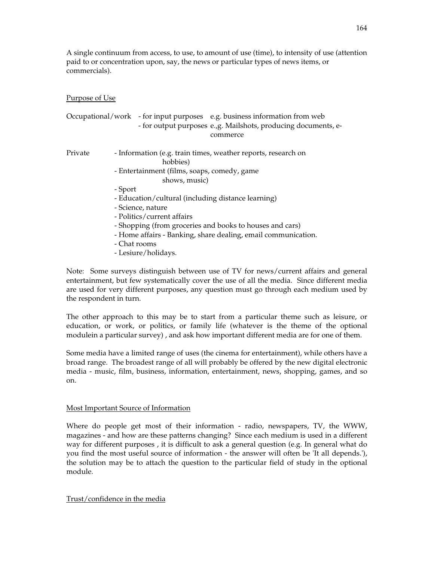A single continuum from access, to use, to amount of use (time), to intensity of use (attention paid to or concentration upon, say, the news or particular types of news items, or commercials).

## Purpose of Use

|         | Occupational/work - for input purposes e.g. business information from web<br>- for output purposes e., g. Mailshots, producing documents, e-<br>commerce |  |  |  |  |  |  |  |  |
|---------|----------------------------------------------------------------------------------------------------------------------------------------------------------|--|--|--|--|--|--|--|--|
| Private | - Information (e.g. train times, weather reports, research on<br>hobbies)                                                                                |  |  |  |  |  |  |  |  |
|         | - Entertainment (films, soaps, comedy, game                                                                                                              |  |  |  |  |  |  |  |  |
|         | shows, music)                                                                                                                                            |  |  |  |  |  |  |  |  |
|         | - Sport                                                                                                                                                  |  |  |  |  |  |  |  |  |
|         | - Education/cultural (including distance learning)                                                                                                       |  |  |  |  |  |  |  |  |
|         | - Science, nature                                                                                                                                        |  |  |  |  |  |  |  |  |
|         | - Politics/current affairs                                                                                                                               |  |  |  |  |  |  |  |  |
|         | - Shopping (from groceries and books to houses and cars)                                                                                                 |  |  |  |  |  |  |  |  |
|         | - Home affairs - Banking, share dealing, email communication.                                                                                            |  |  |  |  |  |  |  |  |
|         | - Chat rooms                                                                                                                                             |  |  |  |  |  |  |  |  |
|         | - Lesiure/holidays.                                                                                                                                      |  |  |  |  |  |  |  |  |

Note: Some surveys distinguish between use of TV for news/current affairs and general entertainment, but few systematically cover the use of all the media. Since different media are used for very different purposes, any question must go through each medium used by the respondent in turn.

The other approach to this may be to start from a particular theme such as leisure, or education, or work, or politics, or family life (whatever is the theme of the optional modulein a particular survey) , and ask how important different media are for one of them.

Some media have a limited range of uses (the cinema for entertainment), while others have a broad range. The broadest range of all will probably be offered by the new digital electronic media - music, film, business, information, entertainment, news, shopping, games, and so on.

# Most Important Source of Information

Where do people get most of their information - radio, newspapers, TV, the WWW, magazines - and how are these patterns changing? Since each medium is used in a different way for different purposes , it is difficult to ask a general question (e.g. In general what do you find the most useful source of information - the answer will often be 'It all depends.'), the solution may be to attach the question to the particular field of study in the optional module.

#### Trust/confidence in the media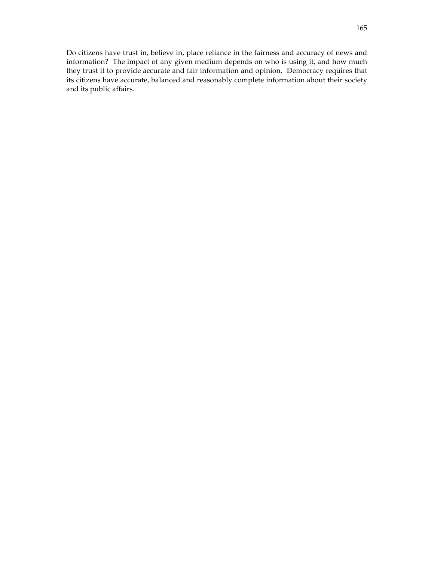Do citizens have trust in, believe in, place reliance in the fairness and accuracy of news and information? The impact of any given medium depends on who is using it, and how much they trust it to provide accurate and fair information and opinion. Democracy requires that its citizens have accurate, balanced and reasonably complete information about their society and its public affairs.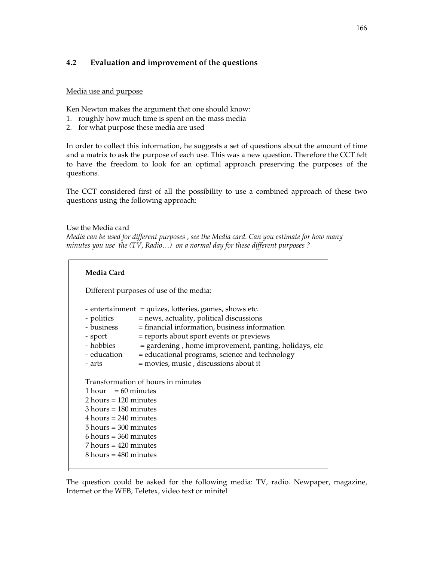# **4.2 Evaluation and improvement of the questions**

#### Media use and purpose

Ken Newton makes the argument that one should know:

- 1. roughly how much time is spent on the mass media
- 2. for what purpose these media are used

In order to collect this information, he suggests a set of questions about the amount of time and a matrix to ask the purpose of each use. This was a new question. Therefore the CCT felt to have the freedom to look for an optimal approach preserving the purposes of the questions.

The CCT considered first of all the possibility to use a combined approach of these two questions using the following approach:

Use the Media card *Media can be used for different purposes , see the Media card. Can you estimate for how many minutes you use the (TV, Radio…) on a normal day for these different purposes ?* 

| Media Card                                                                                                                                                                                                                         |                                                                                                                                                                                                                                                                                                                                                                 |
|------------------------------------------------------------------------------------------------------------------------------------------------------------------------------------------------------------------------------------|-----------------------------------------------------------------------------------------------------------------------------------------------------------------------------------------------------------------------------------------------------------------------------------------------------------------------------------------------------------------|
|                                                                                                                                                                                                                                    | Different purposes of use of the media:                                                                                                                                                                                                                                                                                                                         |
| - politics<br>- business<br>- sport<br>- education<br>- arts                                                                                                                                                                       | - entertainment = quizes, lotteries, games, shows etc.<br>= news, actuality, political discussions<br>$=$ financial information, business information<br>= reports about sport events or previews<br>- hobbies = gardening, home improvement, panting, holidays, etc<br>= educational programs, science and technology<br>= movies, music, discussions about it |
| $1 hour = 60 minutes$<br>$2$ hours = 120 minutes<br>$3$ hours = 180 minutes<br>$4 hours = 240 minutes$<br>$5$ hours = 300 minutes<br>$6$ hours = 360 minutes<br>$7$ hours = 420 minutes<br>$8 \text{ hours} = 480 \text{ minutes}$ | Transformation of hours in minutes                                                                                                                                                                                                                                                                                                                              |

The question could be asked for the following media: TV, radio. Newpaper, magazine, Internet or the WEB, Teletex, video text or minitel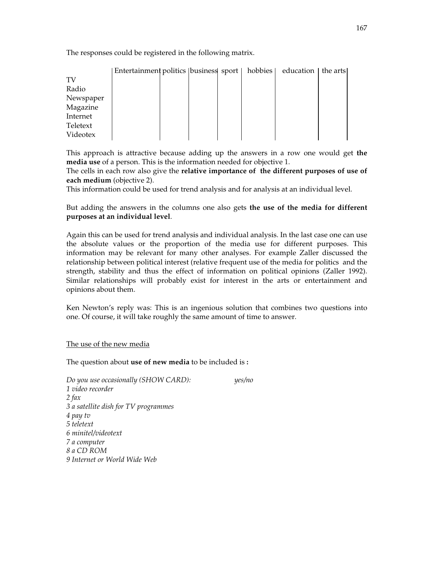The responses could be registered in the following matrix.

|           | Entertainment politics   business  sport   hobbies |  |  | education   the arts |  |
|-----------|----------------------------------------------------|--|--|----------------------|--|
| TV        |                                                    |  |  |                      |  |
| Radio     |                                                    |  |  |                      |  |
| Newspaper |                                                    |  |  |                      |  |
| Magazine  |                                                    |  |  |                      |  |
| Internet  |                                                    |  |  |                      |  |
| Teletext  |                                                    |  |  |                      |  |
| Videotex  |                                                    |  |  |                      |  |

This approach is attractive because adding up the answers in a row one would get **the media use** of a person. This is the information needed for objective 1.

The cells in each row also give the **relative importance of the different purposes of use of each medium** (objective 2).

This information could be used for trend analysis and for analysis at an individual level.

But adding the answers in the columns one also gets **the use of the media for different purposes at an individual level**.

Again this can be used for trend analysis and individual analysis. In the last case one can use the absolute values or the proportion of the media use for different purposes. This information may be relevant for many other analyses. For example Zaller discussed the relationship between political interest (relative frequent use of the media for politics and the strength, stability and thus the effect of information on political opinions (Zaller 1992). Similar relationships will probably exist for interest in the arts or entertainment and opinions about them.

Ken Newton's reply was: This is an ingenious solution that combines two questions into one. Of course, it will take roughly the same amount of time to answer.

#### The use of the new media

The question about **use of new media** to be included is **:** 

*Do you use occasionally (SHOW CARD): yes/no 1 video recorder 2 fax 3 a satellite dish for TV programmes 4 pay tv 5 teletext 6 minitel/videotext 7 a computer 8 a CD ROM 9 Internet or World Wide Web*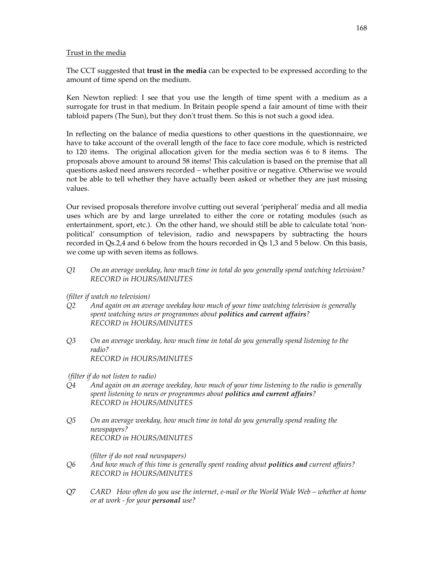# Trust in the media

The CCT suggested that **trust in the media** can be expected to be expressed according to the amount of time spend on the medium.

Ken Newton replied: I see that you use the length of time spent with a medium as a surrogate for trust in that medium. In Britain people spend a fair amount of time with their tabloid papers (The Sun), but they don't trust them. So this is not such a good idea.

In reflecting on the balance of media questions to other questions in the questionnaire, we have to take account of the overall length of the face to face core module, which is restricted to 120 items. The original allocation given for the media section was 6 to 8 items. The proposals above amount to around 58 items! This calculation is based on the premise that all questions asked need answers recorded – whether positive or negative. Otherwise we would not be able to tell whether they have actually been asked or whether they are just missing values.

Our revised proposals therefore involve cutting out several 'peripheral' media and all media uses which are by and large unrelated to either the core or rotating modules (such as entertainment, sport, etc.). On the other hand, we should still be able to calculate total 'nonpolitical' consumption of television, radio and newspapers by subtracting the hours recorded in Qs.2,4 and 6 below from the hours recorded in Qs 1,3 and 5 below. On this basis, we come up with seven items as follows.

*Q1 On an average weekday, how much time in total do you generally spend watching television? RECORD in HOURS/MINUTES* 

# *(filter if watch no television)*

- *Q2 And again on an average weekday how much of your time watching television is generally spent watching news or programmes about politics and current affairs? RECORD in HOURS/MINUTES*
- *Q3 On an average weekday, how much time in total do you generally spend listening to the radio? RECORD in HOURS/MINUTES*

 *(filter if do not listen to radio)* 

- *Q4 And again on an average weekday, how much of your time listening to the radio is generally spent listening to news or programmes about politics and current affairs? RECORD in HOURS/MINUTES*
- *Q5 On an average weekday, how much time in total do you generally spend reading the newspapers? RECORD in HOURS/MINUTES*

 *(filter if do not read newspapers)* 

- *Q6 And how much of this time is generally spent reading about politics and current affairs? RECORD in HOURS/MINUTES*
- Q7 *CARD How often do you use the internet, e-mail or the World Wide Web whether at home or at work - for your personal use?*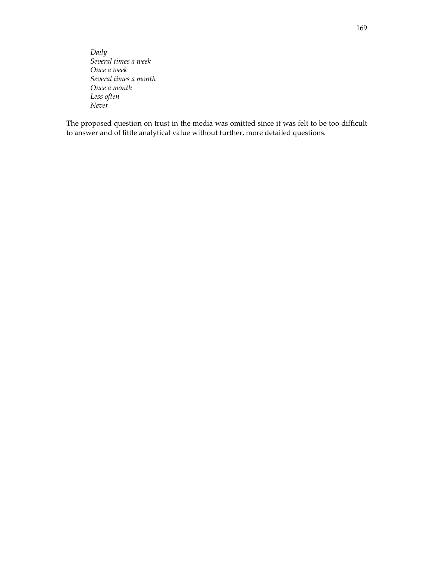*Daily Several times a week Once a week Several times a month Once a month Less often Never* 

The proposed question on trust in the media was omitted since it was felt to be too difficult to answer and of little analytical value without further, more detailed questions.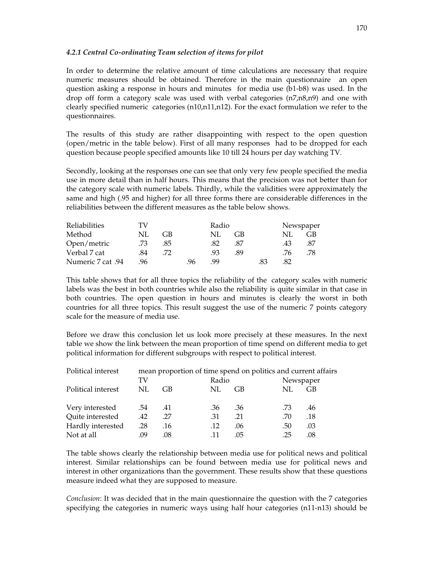#### *4.2.1 Central Co-ordinating Team selection of items for pilot*

In order to determine the relative amount of time calculations are necessary that require numeric measures should be obtained. Therefore in the main questionnaire an open question asking a response in hours and minutes for media use (b1-b8) was used. In the drop off form a category scale was used with verbal categories (n7,n8,n9) and one with clearly specified numeric categories (n10,n11,n12). For the exact formulation we refer to the questionnaires.

The results of this study are rather disappointing with respect to the open question (open/metric in the table below). First of all many responses had to be dropped for each question because people specified amounts like 10 till 24 hours per day watching TV.

Secondly, looking at the responses one can see that only very few people specified the media use in more detail than in half hours. This means that the precision was not better than for the category scale with numeric labels. Thirdly, while the validities were approximately the same and high (.95 and higher) for all three forms there are considerable differences in the reliabilities between the different measures as the table below shows.

| <b>Reliabilities</b> | TV  | Radio |    |                  |     |     | Newspaper |     |
|----------------------|-----|-------|----|------------------|-----|-----|-----------|-----|
| Method               | NL. | GB    |    | NL               | GB. |     | NL.       | GB  |
| Open/metric          | .73 | .85   |    | .82              | .87 |     | .43       | .87 |
| Verbal 7 cat         | .84 | 72    |    | .93 <sub>1</sub> | .89 |     | .76       | .78 |
| 94. Numeric 7 cat    | .96 |       | 96 | 99               |     | .83 | .82       |     |

This table shows that for all three topics the reliability of the category scales with numeric labels was the best in both countries while also the reliability is quite similar in that case in both countries. The open question in hours and minutes is clearly the worst in both countries for all three topics. This result suggest the use of the numeric 7 points category scale for the measure of media use.

Before we draw this conclusion let us look more precisely at these measures. In the next table we show the link between the mean proportion of time spend on different media to get political information for different subgroups with respect to political interest.

| Political interest | mean proportion of time spend on politics and current affairs |     |     |                    |            |
|--------------------|---------------------------------------------------------------|-----|-----|--------------------|------------|
|                    | TV                                                            |     |     | Radio<br>Newspaper |            |
| Political interest | NL                                                            | GB  | NL  | GB                 | GB<br>NL.  |
| Very interested    | .54                                                           | .41 | .36 | .36                | .73<br>.46 |
| Quite interested   | .42                                                           | .27 | .31 | .21                | .70<br>.18 |
| Hardly interested  | .28                                                           | .16 | .12 | .06                | .03<br>.50 |
| Not at all         | .09                                                           | .08 |     | .05                | .25<br>.08 |

The table shows clearly the relationship between media use for political news and political interest. Similar relationships can be found between media use for political news and interest in other organizations than the government. These results show that these questions measure indeed what they are supposed to measure.

*Conclusion*: It was decided that in the main questionnaire the question with the 7 categories specifying the categories in numeric ways using half hour categories (n11-n13) should be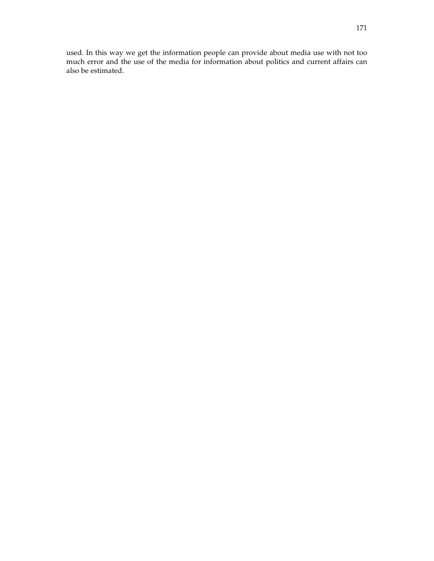used. In this way we get the information people can provide about media use with not too much error and the use of the media for information about politics and current affairs can also be estimated.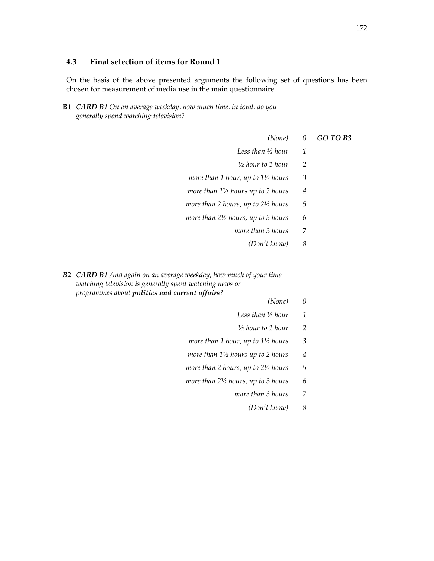#### **4.3 Final selection of items for Round 1**

On the basis of the above presented arguments the following set of questions has been chosen for measurement of media use in the main questionnaire.

 **B1** *CARD B1 On an average weekday, how much time, in total, do you generally spend watching television?* 

|                    | (None) $0$ <b>GO TO B3</b> |
|--------------------|----------------------------|
| Less than ½ hour 1 |                            |

- *½ hour to 1 hour 2*
- *more than 1 hour, up to 1½ hours 3*
- *more than 1½ hours up to 2 hours 4*
- *more than 2 hours, up to 2½ hours 5*
- *more than 2½ hours, up to 3 hours 6* 
	- *more than 3 hours 7* 
		- *(Don't know) 8*
- *B2 CARD B1 And again on an average weekday, how much of your time watching television is generally spent watching news or programmes about politics and current affairs?*
- *(None) 0* 
	- *Less than ½ hour 1*
	- *½ hour to 1 hour 2*
	- *more than 1 hour, up to 1½ hours 3*
	- *more than 1½ hours up to 2 hours 4*
	- *more than 2 hours, up to 2½ hours 5*
	- *more than 2½ hours, up to 3 hours 6* 
		- *more than 3 hours 7* 
			- *(Don't know) 8*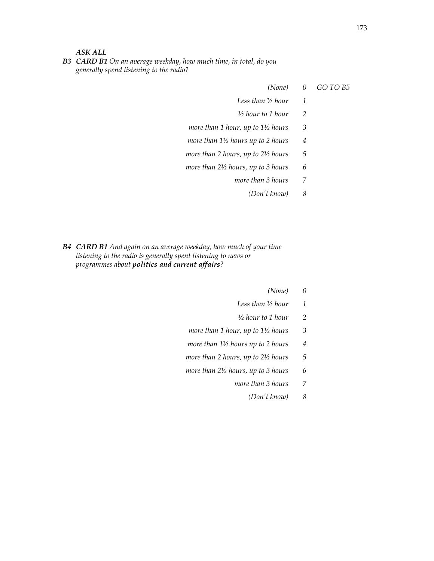*ASK ALL* 

 *B3 CARD B1 On an average weekday, how much time, in total, do you generally spend listening to the radio?* 

- *(None) 0 GO TO B5* 
	- *Less than ½ hour 1*
	- *½ hour to 1 hour 2*
	- *more than 1 hour, up to 1½ hours 3*
	- *more than 1½ hours up to 2 hours 4*
	- *more than 2 hours, up to 2½ hours 5*
	- *more than 2½ hours, up to 3 hours 6* 
		- *more than 3 hours 7* 
			- *(Don't know) 8*
- *B4 CARD B1 And again on an average weekday, how much of your time listening to the radio is generally spent listening to news or programmes about politics and current affairs?*
- *(None) 0* 
	- *Less than ½ hour 1*
	- *½ hour to 1 hour 2*
	- *more than 1 hour, up to 1½ hours 3*
	- *more than 1½ hours up to 2 hours 4*
	- *more than 2 hours, up to 2½ hours 5*
	- *more than 2½ hours, up to 3 hours 6* 
		- *more than 3 hours 7* 
			- *(Don't know) 8*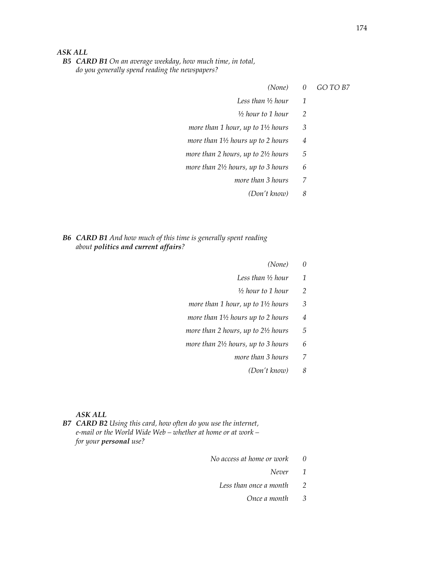# *ASK ALL*

 *B5 CARD B1 On an average weekday, how much time, in total, do you generally spend reading the newspapers?* 

#### *(None) 0 GO TO B7*

| Less than 1/2 hour<br>. |  |
|-------------------------|--|
|-------------------------|--|

- *½ hour to 1 hour 2*
- *more than 1 hour, up to 1½ hours 3*
- *more than 1½ hours up to 2 hours 4*
- *more than 2 hours, up to 2½ hours 5*
- *more than 2½ hours, up to 3 hours 6* 
	- *more than 3 hours 7* 
		- *(Don't know) 8*

# *B6 CARD B1 And how much of this time is generally spent reading about politics and current affairs?*

- *(None) 0* 
	- *Less than ½ hour 1*
	- *½ hour to 1 hour 2*
	- *more than 1 hour, up to 1½ hours 3*
	- *more than 1½ hours up to 2 hours 4*
	- *more than 2 hours, up to 2½ hours 5*
	- *more than 2½ hours, up to 3 hours 6* 
		- *more than 3 hours 7* 
			- *(Don't know) 8*

#### *ASK ALL*

 *B7 CARD B2 Using this card, how often do you use the internet, e-mail or the World Wide Web – whether at home or at work – for your personal use?* 

- *No access at home or work 0*
- *Never 1*
	- *Less than once a month 2* 
		- *Once a month 3*